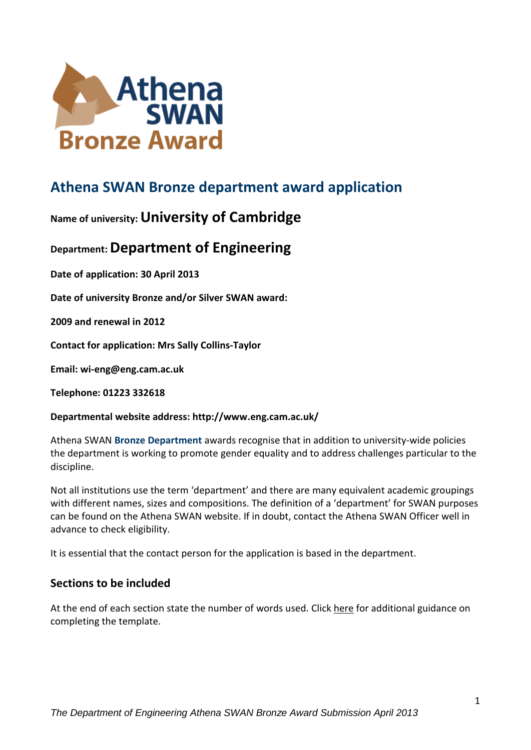

# **Athena SWAN Bronze department award application**

# **Name of university:University of Cambridge**

# **Department:Department of Engineering**

**Date of application: 30 April 2013**

**Date of university Bronze and/or Silver SWAN award:** 

**2009 and renewal in 2012**

**Contact for application: Mrs Sally Collins-Taylor**

**Email: wi-eng@eng.cam.ac.uk**

**Telephone: 01223 332618**

#### **Departmental website address: http://www.eng.cam.ac.uk/**

Athena SWAN **Bronze Department** awards recognise that in addition to university-wide policies the department is working to promote gender equality and to address challenges particular to the discipline.

Not all institutions use the term 'department' and there are many equivalent academic groupings with different names, sizes and compositions. The definition of a 'department' for SWAN purposes can be found on the Athena SWAN website. If in doubt, contact the Athena SWAN Officer well in advance to check eligibility.

It is essential that the contact person for the application is based in the department.

# **Sections to be included**

At the end of each section state the number of words used. Click here for additional guidance on completing the template.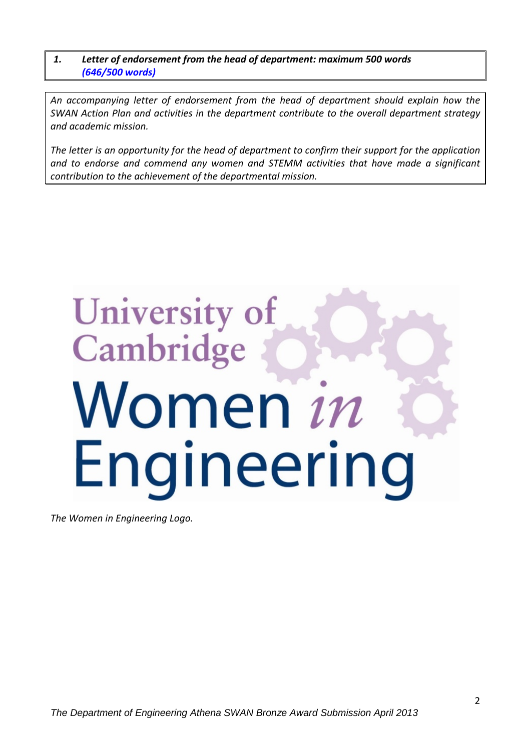*1. Letter of endorsement from the head of department: maximum 500 words (646/500 words)*

*An accompanying letter of endorsement from the head of department should explain how the SWAN Action Plan and activities in the department contribute to the overall department strategy and academic mission.* 

*The letter is an opportunity for the head of department to confirm their support for the application and to endorse and commend any women and STEMM activities that have made a significant contribution to the achievement of the departmental mission.*

# **University of** Cambridge Women in Engineering

*The Women in Engineering Logo.*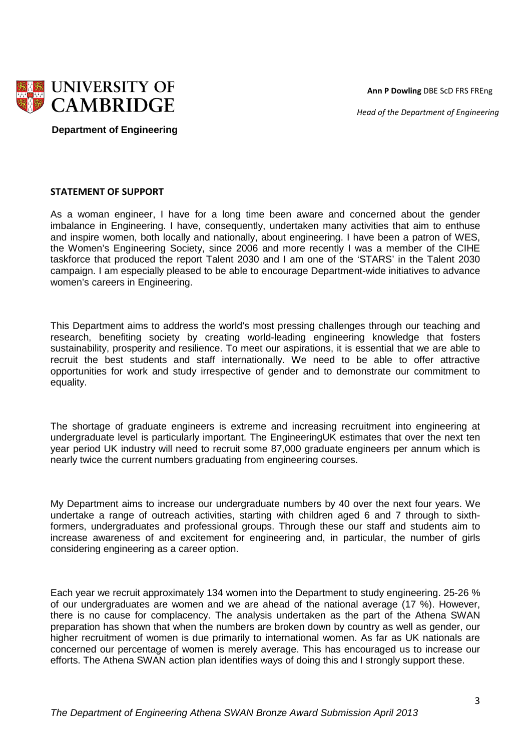**Ann P Dowling** DBE ScD FRS FREng

 *Head of the Department of Engineering*



 **Department of Engineering**

#### **STATEMENT OF SUPPORT**

As a woman engineer, I have for a long time been aware and concerned about the gender imbalance in Engineering. I have, consequently, undertaken many activities that aim to enthuse and inspire women, both locally and nationally, about engineering. I have been a patron of WES, the Women's Engineering Society, since 2006 and more recently I was a member of the CIHE taskforce that produced the report Talent 2030 and I am one of the 'STARS' in the Talent 2030 campaign. I am especially pleased to be able to encourage Department-wide initiatives to advance women's careers in Engineering.

This Department aims to address the world's most pressing challenges through our teaching and research, benefiting society by creating world-leading engineering knowledge that fosters sustainability, prosperity and resilience. To meet our aspirations, it is essential that we are able to recruit the best students and staff internationally. We need to be able to offer attractive opportunities for work and study irrespective of gender and to demonstrate our commitment to equality.

The shortage of graduate engineers is extreme and increasing recruitment into engineering at undergraduate level is particularly important. The EngineeringUK estimates that over the next ten year period UK industry will need to recruit some 87,000 graduate engineers per annum which is nearly twice the current numbers graduating from engineering courses.

My Department aims to increase our undergraduate numbers by 40 over the next four years. We undertake a range of outreach activities, starting with children aged 6 and 7 through to sixthformers, undergraduates and professional groups. Through these our staff and students aim to increase awareness of and excitement for engineering and, in particular, the number of girls considering engineering as a career option.

Each year we recruit approximately 134 women into the Department to study engineering. 25-26 % of our undergraduates are women and we are ahead of the national average (17 %). However, there is no cause for complacency. The analysis undertaken as the part of the Athena SWAN preparation has shown that when the numbers are broken down by country as well as gender, our higher recruitment of women is due primarily to international women. As far as UK nationals are concerned our percentage of women is merely average. This has encouraged us to increase our efforts. The Athena SWAN action plan identifies ways of doing this and I strongly support these.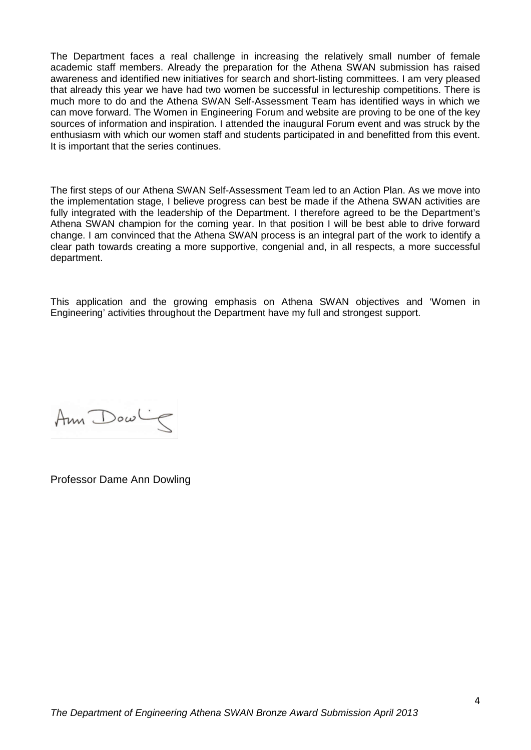The Department faces a real challenge in increasing the relatively small number of female academic staff members. Already the preparation for the Athena SWAN submission has raised awareness and identified new initiatives for search and short-listing committees. I am very pleased that already this year we have had two women be successful in lectureship competitions. There is much more to do and the Athena SWAN Self-Assessment Team has identified ways in which we can move forward. The Women in Engineering Forum and website are proving to be one of the key sources of information and inspiration. I attended the inaugural Forum event and was struck by the enthusiasm with which our women staff and students participated in and benefitted from this event. It is important that the series continues.

The first steps of our Athena SWAN Self-Assessment Team led to an Action Plan. As we move into the implementation stage, I believe progress can best be made if the Athena SWAN activities are fully integrated with the leadership of the Department. I therefore agreed to be the Department's Athena SWAN champion for the coming year. In that position I will be best able to drive forward change. I am convinced that the Athena SWAN process is an integral part of the work to identify a clear path towards creating a more supportive, congenial and, in all respects, a more successful department.

This application and the growing emphasis on Athena SWAN objectives and 'Women in Engineering' activities throughout the Department have my full and strongest support.

Ann Dowling

Professor Dame Ann Dowling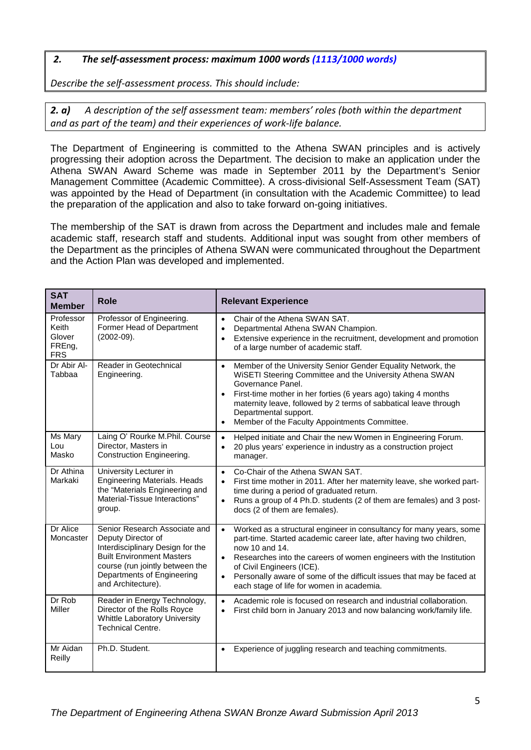#### *2. The self-assessment process: maximum 1000 words (1113/1000 words)*

*Describe the self-assessment process. This should include:*

*2. a) A description of the self assessment team: members' roles (both within the department and as part of the team) and their experiences of work-life balance.*

The Department of Engineering is committed to the Athena SWAN principles and is actively progressing their adoption across the Department. The decision to make an application under the Athena SWAN Award Scheme was made in September 2011 by the Department's Senior Management Committee (Academic Committee). A cross-divisional Self-Assessment Team (SAT) was appointed by the Head of Department (in consultation with the Academic Committee) to lead the preparation of the application and also to take forward on-going initiatives.

The membership of the SAT is drawn from across the Department and includes male and female academic staff, research staff and students. Additional input was sought from other members of the Department as the principles of Athena SWAN were communicated throughout the Department and the Action Plan was developed and implemented.

| <b>SAT</b><br><b>Member</b>                          | <b>Role</b>                                                                                                                                                                                                        | <b>Relevant Experience</b>                                                                                                                                                                                                                                                                                                                                                                                                    |
|------------------------------------------------------|--------------------------------------------------------------------------------------------------------------------------------------------------------------------------------------------------------------------|-------------------------------------------------------------------------------------------------------------------------------------------------------------------------------------------------------------------------------------------------------------------------------------------------------------------------------------------------------------------------------------------------------------------------------|
| Professor<br>Keith<br>Glover<br>FREng,<br><b>FRS</b> | Professor of Engineering.<br>Former Head of Department<br>$(2002-09).$                                                                                                                                             | Chair of the Athena SWAN SAT.<br>$\bullet$<br>Departmental Athena SWAN Champion.<br>$\bullet$<br>Extensive experience in the recruitment, development and promotion<br>$\bullet$<br>of a large number of academic staff.                                                                                                                                                                                                      |
| Dr Abir Al-<br>Tabbaa                                | Reader in Geotechnical<br>Engineering.                                                                                                                                                                             | Member of the University Senior Gender Equality Network, the<br>$\bullet$<br>WISETI Steering Committee and the University Athena SWAN<br>Governance Panel.<br>First-time mother in her forties (6 years ago) taking 4 months<br>$\bullet$<br>maternity leave, followed by 2 terms of sabbatical leave through<br>Departmental support.<br>Member of the Faculty Appointments Committee.<br>$\bullet$                          |
| Ms Mary<br>Lou<br>Masko                              | Laing O' Rourke M.Phil. Course<br>Director, Masters in<br>Construction Engineering.                                                                                                                                | Helped initiate and Chair the new Women in Engineering Forum.<br>$\bullet$<br>20 plus years' experience in industry as a construction project<br>$\bullet$<br>manager.                                                                                                                                                                                                                                                        |
| Dr Athina<br>Markaki                                 | University Lecturer in<br><b>Engineering Materials. Heads</b><br>the "Materials Engineering and<br>Material-Tissue Interactions"<br>group.                                                                         | Co-Chair of the Athena SWAN SAT.<br>$\bullet$<br>First time mother in 2011. After her maternity leave, she worked part-<br>$\bullet$<br>time during a period of graduated return.<br>Runs a group of 4 Ph.D. students (2 of them are females) and 3 post-<br>$\bullet$<br>docs (2 of them are females).                                                                                                                       |
| Dr Alice<br>Moncaster                                | Senior Research Associate and<br>Deputy Director of<br>Interdisciplinary Design for the<br><b>Built Environment Masters</b><br>course (run jointly between the<br>Departments of Engineering<br>and Architecture). | Worked as a structural engineer in consultancy for many years, some<br>$\bullet$<br>part-time. Started academic career late, after having two children,<br>now 10 and 14.<br>Researches into the careers of women engineers with the Institution<br>$\bullet$<br>of Civil Engineers (ICE).<br>Personally aware of some of the difficult issues that may be faced at<br>$\bullet$<br>each stage of life for women in academia. |
| Dr Rob<br>Miller                                     | Reader in Energy Technology,<br>Director of the Rolls Royce<br>Whittle Laboratory University<br><b>Technical Centre.</b>                                                                                           | Academic role is focused on research and industrial collaboration.<br>$\bullet$<br>First child born in January 2013 and now balancing work/family life.<br>$\bullet$                                                                                                                                                                                                                                                          |
| Mr Aidan<br>Reilly                                   | Ph.D. Student.                                                                                                                                                                                                     | Experience of juggling research and teaching commitments.<br>$\bullet$                                                                                                                                                                                                                                                                                                                                                        |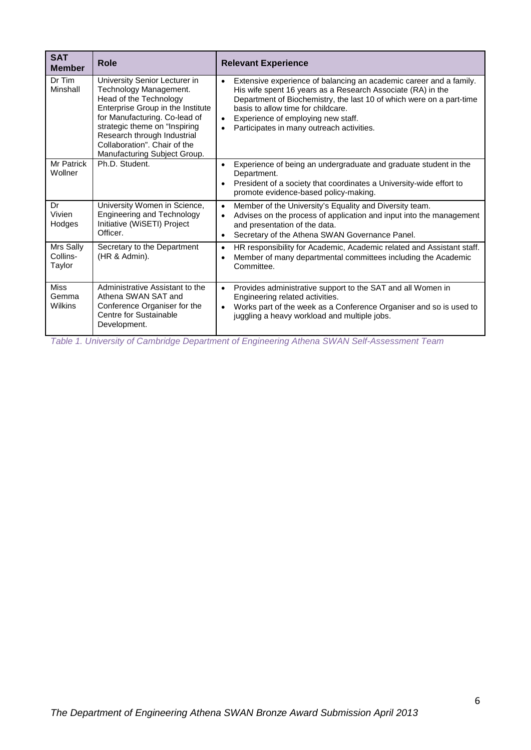| <b>SAT</b><br><b>Member</b>     | <b>Role</b>                                                                                                                                                                                                                                                                             | <b>Relevant Experience</b>                                                                                                                                                                                                                                                                                                                                                |
|---------------------------------|-----------------------------------------------------------------------------------------------------------------------------------------------------------------------------------------------------------------------------------------------------------------------------------------|---------------------------------------------------------------------------------------------------------------------------------------------------------------------------------------------------------------------------------------------------------------------------------------------------------------------------------------------------------------------------|
| Dr Tim<br>Minshall              | University Senior Lecturer in<br>Technology Management.<br>Head of the Technology<br>Enterprise Group in the Institute<br>for Manufacturing. Co-lead of<br>strategic theme on "Inspiring<br>Research through Industrial<br>Collaboration". Chair of the<br>Manufacturing Subject Group. | Extensive experience of balancing an academic career and a family.<br>$\bullet$<br>His wife spent 16 years as a Research Associate (RA) in the<br>Department of Biochemistry, the last 10 of which were on a part-time<br>basis to allow time for childcare.<br>Experience of employing new staff.<br>$\bullet$<br>Participates in many outreach activities.<br>$\bullet$ |
| Mr Patrick<br>Wollner           | Ph.D. Student.                                                                                                                                                                                                                                                                          | Experience of being an undergraduate and graduate student in the<br>$\bullet$<br>Department.<br>President of a society that coordinates a University-wide effort to<br>$\bullet$<br>promote evidence-based policy-making.                                                                                                                                                 |
| Dr<br>Vivien<br>Hodges          | University Women in Science,<br><b>Engineering and Technology</b><br>Initiative (WiSETI) Project<br>Officer.                                                                                                                                                                            | Member of the University's Equality and Diversity team.<br>$\bullet$<br>Advises on the process of application and input into the management<br>$\bullet$<br>and presentation of the data.<br>Secretary of the Athena SWAN Governance Panel.<br>$\bullet$                                                                                                                  |
| Mrs Sally<br>Collins-<br>Taylor | Secretary to the Department<br>(HR & Admin).                                                                                                                                                                                                                                            | HR responsibility for Academic, Academic related and Assistant staff.<br>$\bullet$<br>Member of many departmental committees including the Academic<br>$\bullet$<br>Committee.                                                                                                                                                                                            |
| <b>Miss</b><br>Gemma<br>Wilkins | Administrative Assistant to the<br>Athena SWAN SAT and<br>Conference Organiser for the<br>Centre for Sustainable<br>Development.                                                                                                                                                        | Provides administrative support to the SAT and all Women in<br>$\bullet$<br>Engineering related activities.<br>Works part of the week as a Conference Organiser and so is used to<br>$\bullet$<br>juggling a heavy workload and multiple jobs.                                                                                                                            |

<span id="page-5-0"></span>*Table 1. University of Cambridge Department of Engineering Athena SWAN Self-Assessment Team*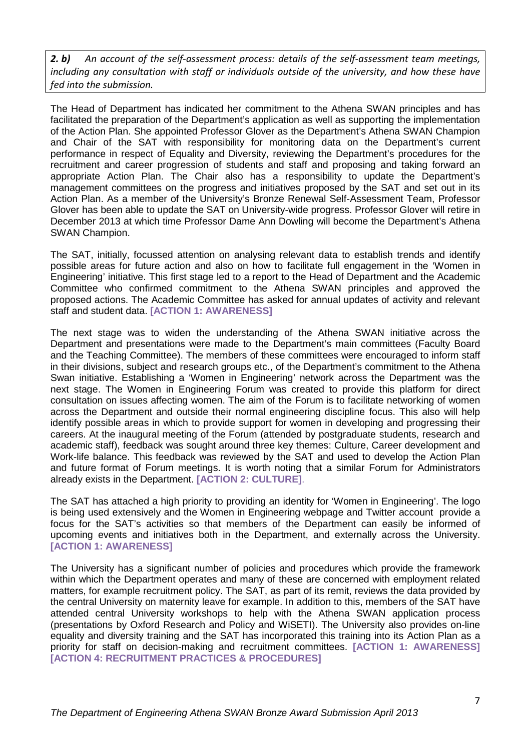*2. b) An account of the self-assessment process: details of the self-assessment team meetings, including any consultation with staff or individuals outside of the university, and how these have fed into the submission.*

The Head of Department has indicated her commitment to the Athena SWAN principles and has facilitated the preparation of the Department's application as well as supporting the implementation of the Action Plan. She appointed Professor Glover as the Department's Athena SWAN Champion and Chair of the SAT with responsibility for monitoring data on the Department's current performance in respect of Equality and Diversity, reviewing the Department's procedures for the recruitment and career progression of students and staff and proposing and taking forward an appropriate Action Plan. The Chair also has a responsibility to update the Department's management committees on the progress and initiatives proposed by the SAT and set out in its Action Plan. As a member of the University's Bronze Renewal Self-Assessment Team, Professor Glover has been able to update the SAT on University-wide progress. Professor Glover will retire in December 2013 at which time Professor Dame Ann Dowling will become the Department's Athena SWAN Champion.

The SAT, initially, focussed attention on analysing relevant data to establish trends and identify possible areas for future action and also on how to facilitate full engagement in the 'Women in Engineering' initiative. This first stage led to a report to the Head of Department and the Academic Committee who confirmed commitment to the Athena SWAN principles and approved the proposed actions. The Academic Committee has asked for annual updates of activity and relevant staff and student data. **[ACTION 1: AWARENESS]**

The next stage was to widen the understanding of the Athena SWAN initiative across the Department and presentations were made to the Department's main committees (Faculty Board and the Teaching Committee). The members of these committees were encouraged to inform staff in their divisions, subject and research groups etc., of the Department's commitment to the Athena Swan initiative. Establishing a 'Women in Engineering' network across the Department was the next stage. The Women in Engineering Forum was created to provide this platform for direct consultation on issues affecting women. The aim of the Forum is to facilitate networking of women across the Department and outside their normal engineering discipline focus. This also will help identify possible areas in which to provide support for women in developing and progressing their careers. At the inaugural meeting of the Forum (attended by postgraduate students, research and academic staff), feedback was sought around three key themes: Culture, Career development and Work-life balance. This feedback was reviewed by the SAT and used to develop the Action Plan and future format of Forum meetings. It is worth noting that a similar Forum for Administrators already exists in the Department. **[ACTION 2: CULTURE]**.

The SAT has attached a high priority to providing an identity for 'Women in Engineering'. The logo is being used extensively and the Women in Engineering webpage and Twitter account provide a focus for the SAT's activities so that members of the Department can easily be informed of upcoming events and initiatives both in the Department, and externally across the University. **[ACTION 1: AWARENESS]**

The University has a significant number of policies and procedures which provide the framework within which the Department operates and many of these are concerned with employment related matters, for example recruitment policy. The SAT, as part of its remit, reviews the data provided by the central University on maternity leave for example. In addition to this, members of the SAT have attended central University workshops to help with the Athena SWAN application process (presentations by Oxford Research and Policy and WiSETI). The University also provides on-line equality and diversity training and the SAT has incorporated this training into its Action Plan as a priority for staff on decision-making and recruitment committees. **[ACTION 1: AWARENESS] [ACTION 4: RECRUITMENT PRACTICES & PROCEDURES]**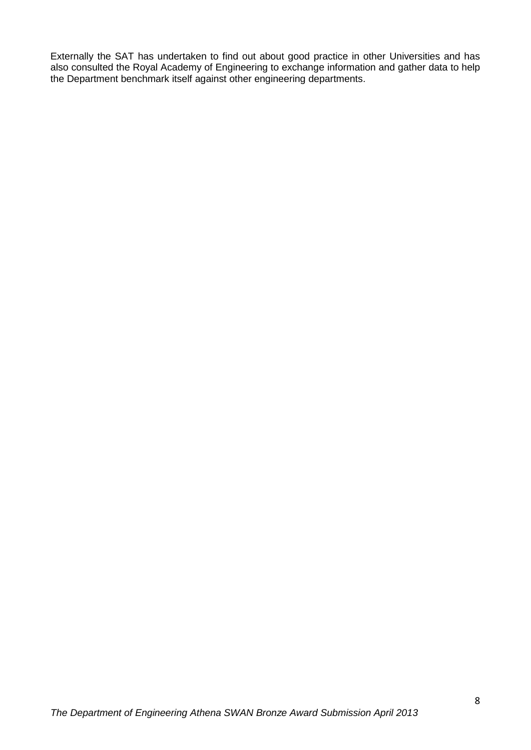Externally the SAT has undertaken to find out about good practice in other Universities and has also consulted the Royal Academy of Engineering to exchange information and gather data to help the Department benchmark itself against other engineering departments.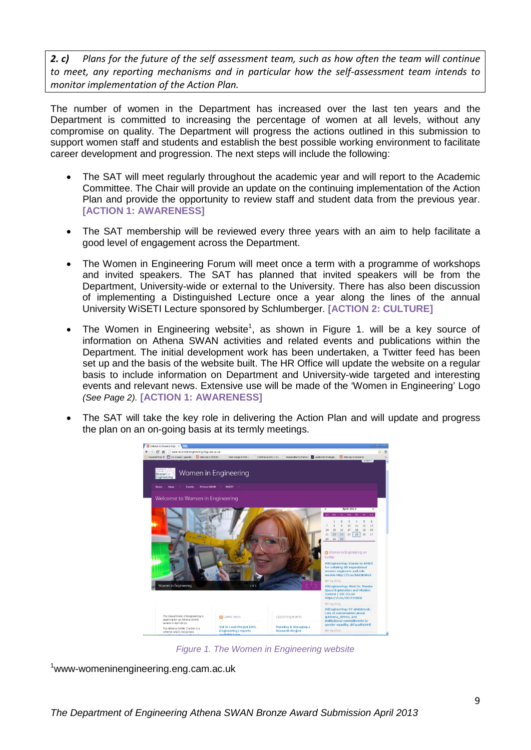*2. c) Plans for the future of the self assessment team, such as how often the team will continue to meet, any reporting mechanisms and in particular how the self-assessment team intends to monitor implementation of the Action Plan.*

The number of women in the Department has increased over the last ten years and the Department is committed to increasing the percentage of women at all levels, without any compromise on quality. The Department will progress the actions outlined in this submission to support women staff and students and establish the best possible working environment to facilitate career development and progression. The next steps will include the following:

- The SAT will meet regularly throughout the academic year and will report to the Academic Committee. The Chair will provide an update on the continuing implementation of the Action Plan and provide the opportunity to review staff and student data from the previous year. **[ACTION 1: AWARENESS]**
- The SAT membership will be reviewed every three years with an aim to help facilitate a good level of engagement across the Department.
- The Women in Engineering Forum will meet once a term with a programme of workshops and invited speakers. The SAT has planned that invited speakers will be from the Department, University-wide or external to the University. There has also been discussion of implementing a Distinguished Lecture once a year along the lines of the annual University WiSETI Lecture sponsored by Schlumberger. **[ACTION 2: CULTURE]**
- The Women in Engineering website<sup>1</sup>, as shown in Figure 1. will be a key source of information on Athena SWAN activities and related events and publications within the Department. The initial development work has been undertaken, a Twitter feed has been set up and the basis of the website built. The HR Office will update the website on a regular basis to include information on Department and University-wide targeted and interesting events and relevant news. Extensive use will be made of the 'Women in Engineering' Logo *(See Page 2).* **[ACTION 1: AWARENESS]**
- The SAT will take the key role in delivering the Action Plan and will update and progress the plan on an on-going basis at its termly meetings.



*Figure 1. The Women in Engineering website*

<span id="page-8-0"></span>1 www-womeninengineering.eng.cam.ac.uk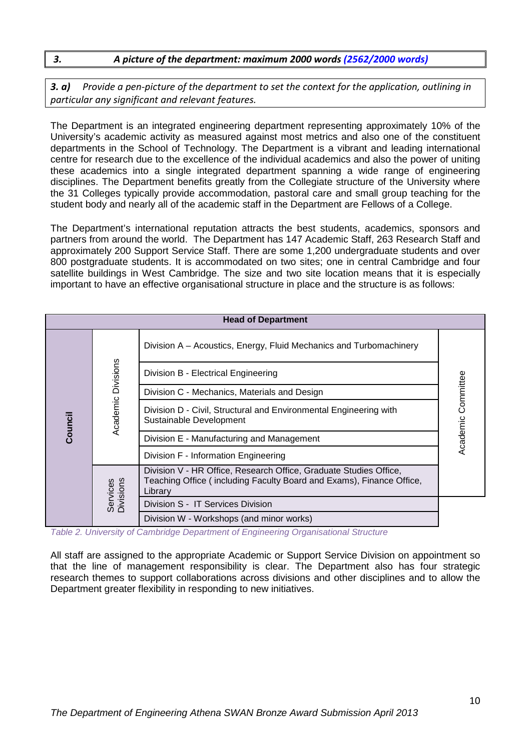#### *3. A picture of the department: maximum 2000 words (2562/2000 words)*

*3. a) Provide a pen-picture of the department to set the context for the application, outlining in particular any significant and relevant features.* 

The Department is an integrated engineering department representing approximately 10% of the University's academic activity as measured against most metrics and also one of the constituent departments in the School of Technology. The Department is a vibrant and leading international centre for research due to the excellence of the individual academics and also the power of uniting these academics into a single integrated department spanning a wide range of engineering disciplines. The Department benefits greatly from the Collegiate structure of the University where the 31 Colleges typically provide accommodation, pastoral care and small group teaching for the student body and nearly all of the academic staff in the Department are Fellows of a College.

The Department's international reputation attracts the best students, academics, sponsors and partners from around the world. The Department has 147 Academic Staff, 263 Research Staff and approximately 200 Support Service Staff. There are some 1,200 undergraduate students and over 800 postgraduate students. It is accommodated on two sites; one in central Cambridge and four satellite buildings in West Cambridge. The size and two site location means that it is especially important to have an effective organisational structure in place and the structure is as follows:

|                       | <b>Head of Department</b> |                                                                                                                                                      |                    |  |  |  |
|-----------------------|---------------------------|------------------------------------------------------------------------------------------------------------------------------------------------------|--------------------|--|--|--|
|                       |                           | Division A - Acoustics, Energy, Fluid Mechanics and Turbomachinery                                                                                   |                    |  |  |  |
|                       |                           | Division B - Electrical Engineering                                                                                                                  |                    |  |  |  |
|                       |                           | Division C - Mechanics, Materials and Design                                                                                                         |                    |  |  |  |
| Council               | Academic Divisions        | Division D - Civil, Structural and Environmental Engineering with<br>Sustainable Development                                                         | Academic Committee |  |  |  |
|                       |                           | Division E - Manufacturing and Management                                                                                                            |                    |  |  |  |
|                       |                           | Division F - Information Engineering                                                                                                                 |                    |  |  |  |
| Services<br>Divisions |                           | Division V - HR Office, Research Office, Graduate Studies Office,<br>Teaching Office (including Faculty Board and Exams), Finance Office,<br>Library |                    |  |  |  |
|                       |                           | Division S - IT Services Division                                                                                                                    |                    |  |  |  |
|                       |                           | Division W - Workshops (and minor works)                                                                                                             |                    |  |  |  |

<span id="page-9-0"></span>*Table 2. University of Cambridge Department of Engineering Organisational Structure*

All staff are assigned to the appropriate Academic or Support Service Division on appointment so that the line of management responsibility is clear. The Department also has four strategic research themes to support collaborations across divisions and other disciplines and to allow the Department greater flexibility in responding to new initiatives.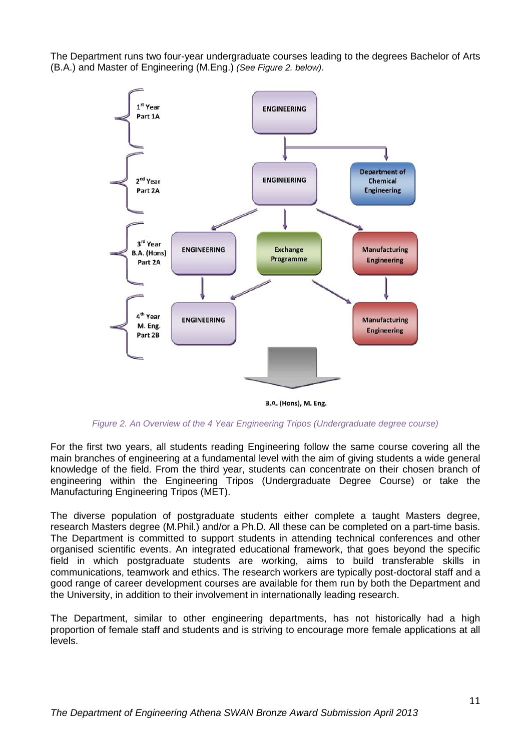The Department runs two four-year undergraduate courses leading to the degrees Bachelor of Arts (B.A.) and Master of Engineering (M.Eng.) *(See Figure 2. below)*.



B.A. (Hons), M. Eng.

#### *Figure 2. An Overview of the 4 Year Engineering Tripos (Undergraduate degree course)*

<span id="page-10-0"></span>For the first two years, all students reading Engineering follow the same course covering all the main branches of engineering at a fundamental level with the aim of giving students a wide general knowledge of the field. From the third year, students can concentrate on their chosen branch of engineering within the Engineering Tripos (Undergraduate Degree Course) or take the Manufacturing Engineering Tripos (MET).

The diverse population of postgraduate students either complete a taught Masters degree, research Masters degree (M.Phil.) and/or a Ph.D. All these can be completed on a part-time basis. The Department is committed to support students in attending technical conferences and other organised scientific events. An integrated educational framework, that goes beyond the specific field in which postgraduate students are working, aims to build transferable skills in communications, teamwork and ethics. The research workers are typically post-doctoral staff and a good range of career development courses are available for them run by both the Department and the University, in addition to their involvement in internationally leading research.

The Department, similar to other engineering departments, has not historically had a high proportion of female staff and students and is striving to encourage more female applications at all levels.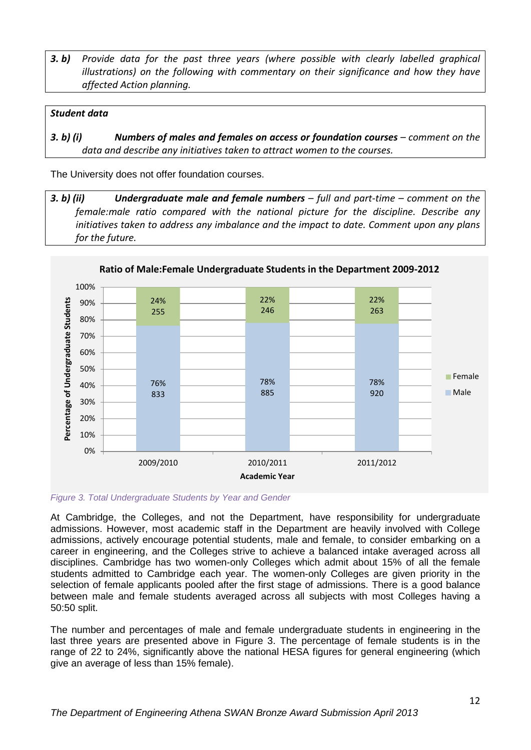**3. b)** Provide data for the past three years (where possible with clearly labelled graphical *illustrations) on the following with commentary on their significance and how they have affected Action planning.* 

#### *Student data*

*3. b) (i) Numbers of males and females on access or foundation courses – comment on the data and describe any initiatives taken to attract women to the courses.*

The University does not offer foundation courses.

*3. b) (ii) Undergraduate male and female numbers – full and part-time – comment on the female:male ratio compared with the national picture for the discipline. Describe any initiatives taken to address any imbalance and the impact to date. Comment upon any plans for the future.*



<span id="page-11-0"></span>*Figure 3. Total Undergraduate Students by Year and Gender*

At Cambridge, the Colleges, and not the Department, have responsibility for undergraduate admissions. However, most academic staff in the Department are heavily involved with College admissions, actively encourage potential students, male and female, to consider embarking on a career in engineering, and the Colleges strive to achieve a balanced intake averaged across all disciplines. Cambridge has two women-only Colleges which admit about 15% of all the female students admitted to Cambridge each year. The women-only Colleges are given priority in the selection of female applicants pooled after the first stage of admissions. There is a good balance between male and female students averaged across all subjects with most Colleges having a 50:50 split.

The number and percentages of male and female undergraduate students in engineering in the last three years are presented above in Figure 3. The percentage of female students is in the range of 22 to 24%, significantly above the national HESA figures for general engineering (which give an average of less than 15% female).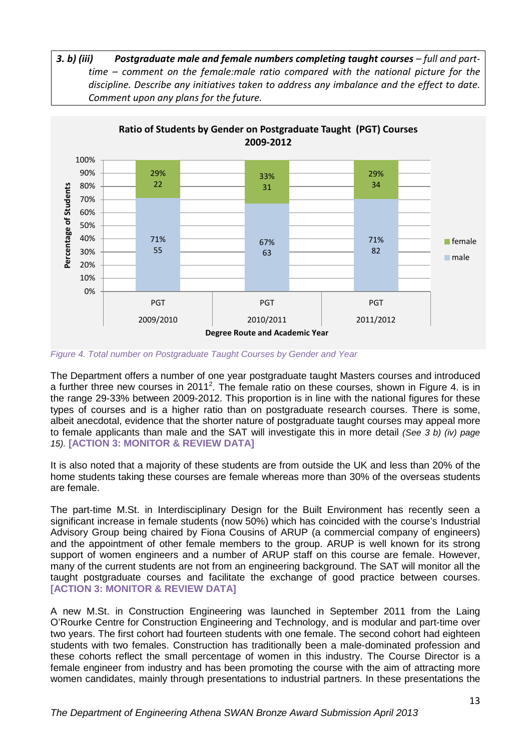*3. b) (iii) Postgraduate male and female numbers completing taught courses – full and parttime – comment on the female:male ratio compared with the national picture for the discipline. Describe any initiatives taken to address any imbalance and the effect to date. Comment upon any plans for the future.*



<span id="page-12-0"></span>*Figure 4. Total number on Postgraduate Taught Courses by Gender and Year*

The Department offers a number of one year postgraduate taught Masters courses and introduced a further three new courses in 2011<sup>2</sup>. The female ratio on these courses, shown in Figure 4. is in the range 29-33% between 2009-2012. This proportion is in line with the national figures for these types of courses and is a higher ratio than on postgraduate research courses. There is some, albeit anecdotal, evidence that the shorter nature of postgraduate taught courses may appeal more to female applicants than male and the SAT will investigate this in more detail *(See 3 b) (iv) page 15).* **[ACTION 3: MONITOR & REVIEW DATA]**

It is also noted that a majority of these students are from outside the UK and less than 20% of the home students taking these courses are female whereas more than 30% of the overseas students are female.

The part-time M.St. in Interdisciplinary Design for the Built Environment has recently seen a significant increase in female students (now 50%) which has coincided with the course's Industrial Advisory Group being chaired by Fiona Cousins of ARUP (a commercial company of engineers) and the appointment of other female members to the group. ARUP is well known for its strong support of women engineers and a number of ARUP staff on this course are female. However, many of the current students are not from an engineering background. The SAT will monitor all the taught postgraduate courses and facilitate the exchange of good practice between courses. **[ACTION 3: MONITOR & REVIEW DATA]**

A new M.St. in Construction Engineering was launched in September 2011 from the Laing O'Rourke Centre for Construction Engineering and Technology, and is modular and part-time over two years. The first cohort had fourteen students with one female. The second cohort had eighteen students with two females. Construction has traditionally been a male-dominated profession and these cohorts reflect the small percentage of women in this industry. The Course Director is a female engineer from industry and has been promoting the course with the aim of attracting more women candidates, mainly through presentations to industrial partners. In these presentations the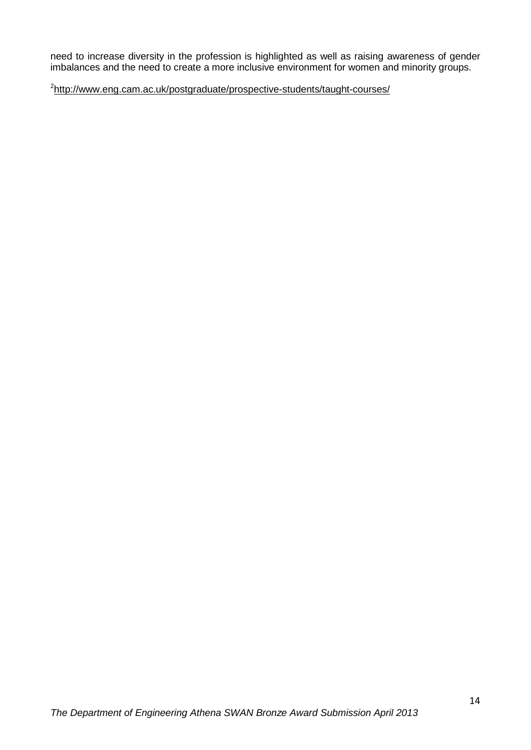need to increase diversity in the profession is highlighted as well as raising awareness of gender imbalances and the need to create a more inclusive environment for women and minority groups.

<sup>2</sup><http://www.eng.cam.ac.uk/postgraduate/prospective-students/taught-courses/>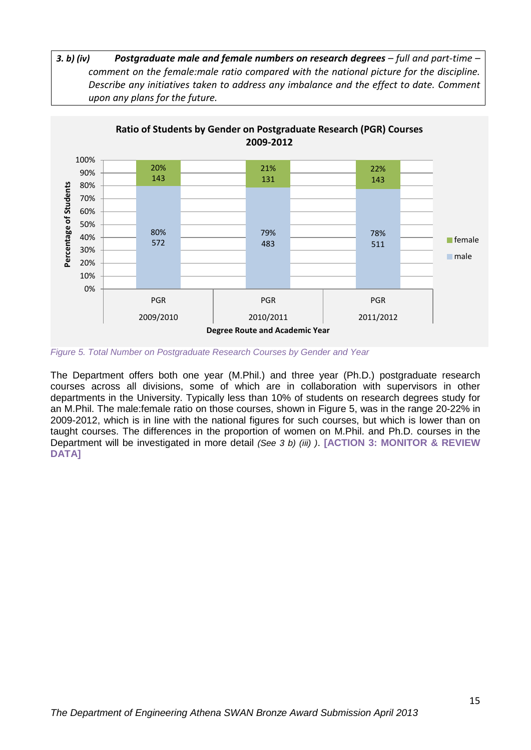



<span id="page-14-0"></span>*Figure 5. Total Number on Postgraduate Research Courses by Gender and Year*

The Department offers both one year (M.Phil.) and three year (Ph.D.) postgraduate research courses across all divisions, some of which are in collaboration with supervisors in other departments in the University. Typically less than 10% of students on research degrees study for an M.Phil. The male:female ratio on those courses, shown in Figure 5, was in the range 20-22% in 2009-2012, which is in line with the national figures for such courses, but which is lower than on taught courses. The differences in the proportion of women on M.Phil. and Ph.D. courses in the Department will be investigated in more detail *(See 3 b) (iii) )*. **[ACTION 3: MONITOR & REVIEW DATA]**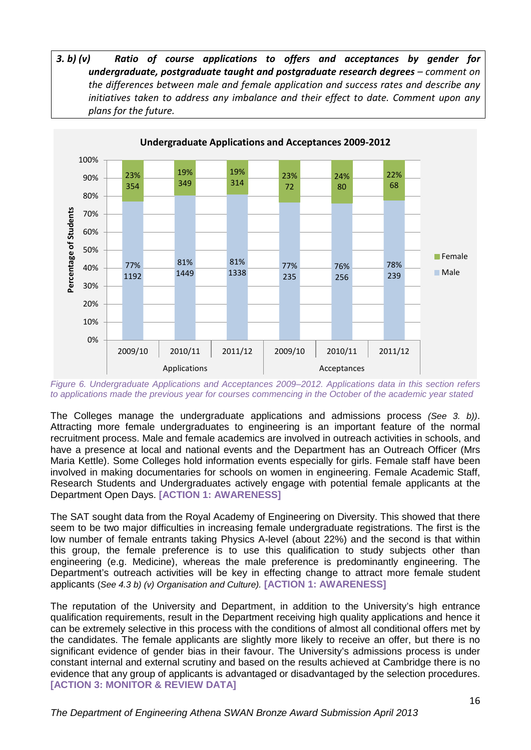*3. b) (v) Ratio of course applications to offers and acceptances by gender for undergraduate, postgraduate taught and postgraduate research degrees – comment on the differences between male and female application and success rates and describe any initiatives taken to address any imbalance and their effect to date. Comment upon any plans for the future.*



<span id="page-15-0"></span>*Figure 6. Undergraduate Applications and Acceptances 2009–2012. Applications data in this section refers to applications made the previous year for courses commencing in the October of the academic year stated*

The Colleges manage the undergraduate applications and admissions process *(See 3. b))*. Attracting more female undergraduates to engineering is an important feature of the normal recruitment process. Male and female academics are involved in outreach activities in schools, and have a presence at local and national events and the Department has an Outreach Officer (Mrs Maria Kettle). Some Colleges hold information events especially for girls. Female staff have been involved in making documentaries for schools on women in engineering. Female Academic Staff, Research Students and Undergraduates actively engage with potential female applicants at the Department Open Days. **[ACTION 1: AWARENESS]**

The SAT sought data from the Royal Academy of Engineering on Diversity. This showed that there seem to be two major difficulties in increasing female undergraduate registrations. The first is the low number of female entrants taking Physics A-level (about 22%) and the second is that within this group, the female preference is to use this qualification to study subjects other than engineering (e.g. Medicine), whereas the male preference is predominantly engineering. The Department's outreach activities will be key in effecting change to attract more female student applicants (*See 4.3 b) (v) Organisation and Culture).* **[ACTION 1: AWARENESS]**

The reputation of the University and Department, in addition to the University's high entrance qualification requirements, result in the Department receiving high quality applications and hence it can be extremely selective in this process with the conditions of almost all conditional offers met by the candidates. The female applicants are slightly more likely to receive an offer, but there is no significant evidence of gender bias in their favour. The University's admissions process is under constant internal and external scrutiny and based on the results achieved at Cambridge there is no evidence that any group of applicants is advantaged or disadvantaged by the selection procedures. **[ACTION 3: MONITOR & REVIEW DATA]**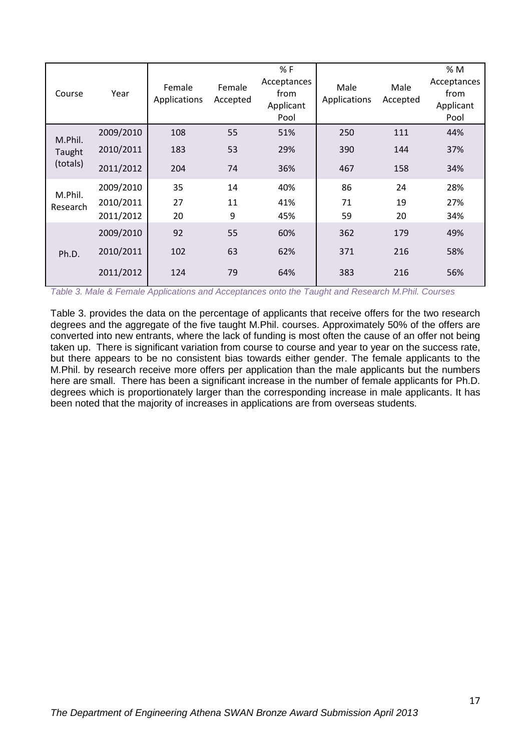| Course   | Year      | Female<br>Applications | Female<br>Accepted | % F<br>Acceptances<br>from<br>Applicant<br>Pool | Male<br>Applications | Male<br>Accepted | % M<br>Acceptances<br>from<br>Applicant<br>Pool |
|----------|-----------|------------------------|--------------------|-------------------------------------------------|----------------------|------------------|-------------------------------------------------|
| M.Phil.  | 2009/2010 | 108                    | 55                 | 51%                                             | 250                  | 111              | 44%                                             |
| Taught   | 2010/2011 | 183                    | 53                 | 29%                                             | 390                  | 144              | 37%                                             |
| (totals) | 2011/2012 | 204                    | 74                 | 36%                                             | 467                  | 158              | 34%                                             |
| M.Phil.  | 2009/2010 | 35                     | 14                 | 40%                                             | 86                   | 24               | 28%                                             |
| Research | 2010/2011 | 27                     | 11                 | 41%                                             | 71                   | 19               | 27%                                             |
|          | 2011/2012 | 20                     | 9                  | 45%                                             | 59                   | 20               | 34%                                             |
|          | 2009/2010 | 92                     | 55                 | 60%                                             | 362                  | 179              | 49%                                             |
| Ph.D.    | 2010/2011 | 102                    | 63                 | 62%                                             | 371                  | 216              | 58%                                             |
|          | 2011/2012 | 124                    | 79                 | 64%                                             | 383                  | 216              | 56%                                             |

<span id="page-16-0"></span>*Table 3. Male & Female Applications and Acceptances onto the Taught and Research M.Phil. Courses*

Table 3. provides the data on the percentage of applicants that receive offers for the two research degrees and the aggregate of the five taught M.Phil. courses. Approximately 50% of the offers are converted into new entrants, where the lack of funding is most often the cause of an offer not being taken up. There is significant variation from course to course and year to year on the success rate, but there appears to be no consistent bias towards either gender. The female applicants to the M.Phil. by research receive more offers per application than the male applicants but the numbers here are small. There has been a significant increase in the number of female applicants for Ph.D. degrees which is proportionately larger than the corresponding increase in male applicants. It has been noted that the majority of increases in applications are from overseas students.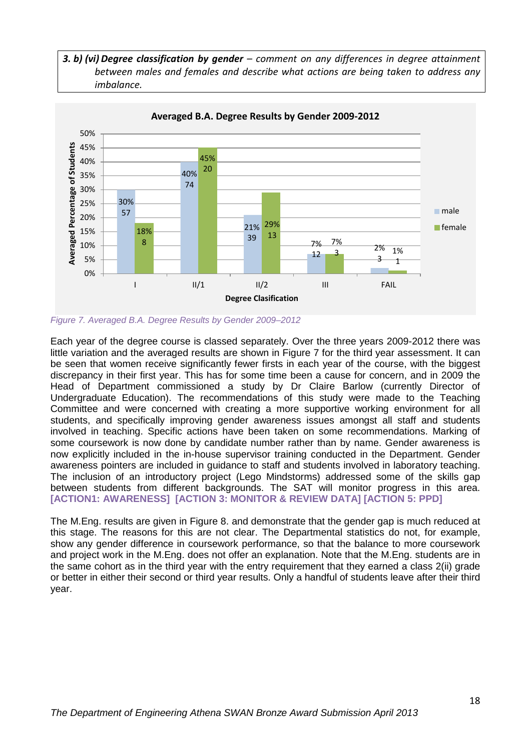*3. b) (vi) Degree classification by gender – comment on any differences in degree attainment between males and females and describe what actions are being taken to address any imbalance.*



<span id="page-17-0"></span>*Figure 7. Averaged B.A. Degree Results by Gender 2009–2012*

Each year of the degree course is classed separately. Over the three years 2009-2012 there was little variation and the averaged results are shown in Figure 7 for the third year assessment. It can be seen that women receive significantly fewer firsts in each year of the course, with the biggest discrepancy in their first year. This has for some time been a cause for concern, and in 2009 the Head of Department commissioned a study by Dr Claire Barlow (currently Director of Undergraduate Education). The recommendations of this study were made to the Teaching Committee and were concerned with creating a more supportive working environment for all students, and specifically improving gender awareness issues amongst all staff and students involved in teaching. Specific actions have been taken on some recommendations. Marking of some coursework is now done by candidate number rather than by name. Gender awareness is now explicitly included in the in-house supervisor training conducted in the Department. Gender awareness pointers are included in guidance to staff and students involved in laboratory teaching. The inclusion of an introductory project (Lego Mindstorms) addressed some of the skills gap between students from different backgrounds. The SAT will monitor progress in this area. **[ACTION1: AWARENESS] [ACTION 3: MONITOR & REVIEW DATA] [ACTION 5: PPD]**

The M.Eng. results are given in Figure 8. and demonstrate that the gender gap is much reduced at this stage. The reasons for this are not clear. The Departmental statistics do not, for example, show any gender difference in coursework performance, so that the balance to more coursework and project work in the M.Eng. does not offer an explanation. Note that the M.Eng. students are in the same cohort as in the third year with the entry requirement that they earned a class 2(ii) grade or better in either their second or third year results. Only a handful of students leave after their third year.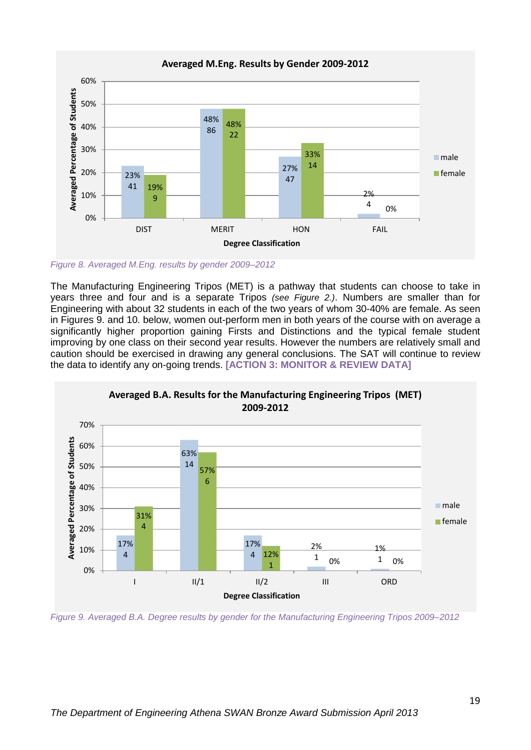

<span id="page-18-0"></span>*Figure 8. Averaged M.Eng. results by gender 2009–2012*

The Manufacturing Engineering Tripos (MET) is a pathway that students can choose to take in years three and four and is a separate Tripos *(see Figure 2.)*. Numbers are smaller than for Engineering with about 32 students in each of the two years of whom 30-40% are female. As seen in Figures 9. and 10. below, women out-perform men in both years of the course with on average a significantly higher proportion gaining Firsts and Distinctions and the typical female student improving by one class on their second year results. However the numbers are relatively small and caution should be exercised in drawing any general conclusions. The SAT will continue to review the data to identify any on-going trends. **[ACTION 3: MONITOR & REVIEW DATA]**



<span id="page-18-1"></span>*Figure 9. Averaged B.A. Degree results by gender for the Manufacturing Engineering Tripos 2009–2012*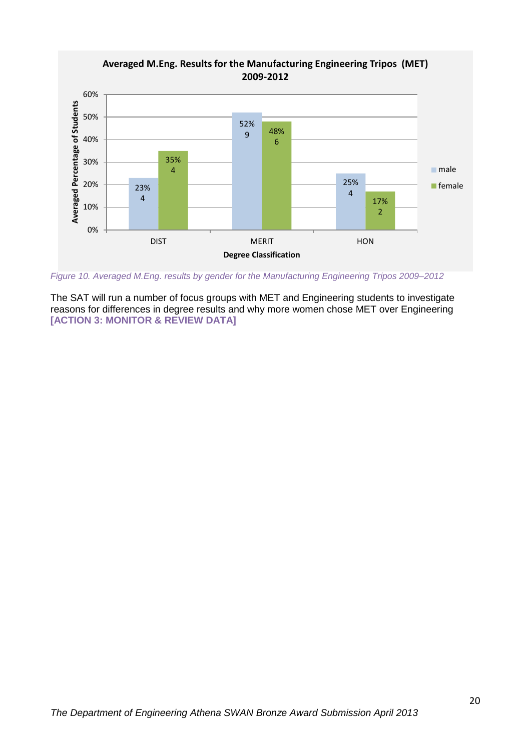

<span id="page-19-0"></span>*Figure 10. Averaged M.Eng. results by gender for the Manufacturing Engineering Tripos 2009–2012*

The SAT will run a number of focus groups with MET and Engineering students to investigate reasons for differences in degree results and why more women chose MET over Engineering **[ACTION 3: MONITOR & REVIEW DATA]**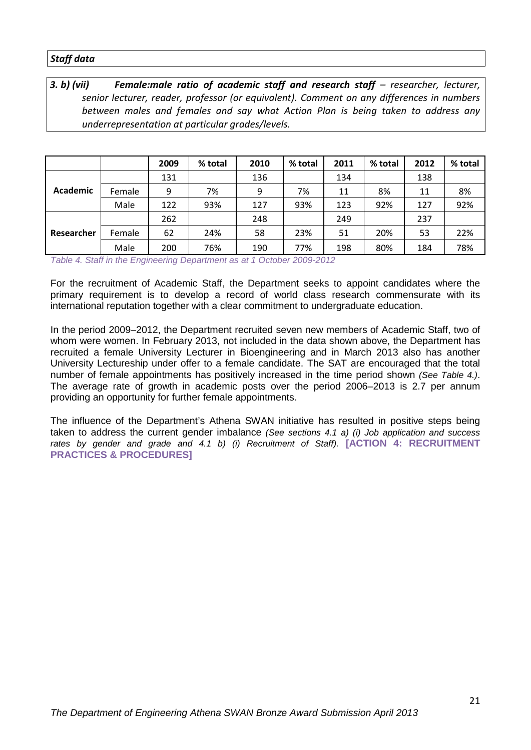#### *Staff data*

*3. b) (vii) Female:male ratio of academic staff and research staff – researcher, lecturer, senior lecturer, reader, professor (or equivalent). Comment on any differences in numbers between males and females and say what Action Plan is being taken to address any underrepresentation at particular grades/levels.* 

|            |        | 2009 | % total | 2010 | % total | 2011 | % total | 2012 | % total |
|------------|--------|------|---------|------|---------|------|---------|------|---------|
|            |        | 131  |         | 136  |         | 134  |         | 138  |         |
| Academic   | Female | 9    | 7%      | 9    | 7%      | 11   | 8%      | 11   | 8%      |
|            | Male   | 122  | 93%     | 127  | 93%     | 123  | 92%     | 127  | 92%     |
|            |        | 262  |         | 248  |         | 249  |         | 237  |         |
| Researcher | Female | 62   | 24%     | 58   | 23%     | 51   | 20%     | 53   | 22%     |
|            | Male   | 200  | 76%     | 190  | 77%     | 198  | 80%     | 184  | 78%     |

<span id="page-20-0"></span>*Table 4. Staff in the Engineering Department as at 1 October 2009-2012*

For the recruitment of Academic Staff, the Department seeks to appoint candidates where the primary requirement is to develop a record of world class research commensurate with its international reputation together with a clear commitment to undergraduate education.

In the period 2009–2012, the Department recruited seven new members of Academic Staff, two of whom were women. In February 2013, not included in the data shown above, the Department has recruited a female University Lecturer in Bioengineering and in March 2013 also has another University Lectureship under offer to a female candidate. The SAT are encouraged that the total number of female appointments has positively increased in the time period shown *(See Table 4.)*. The average rate of growth in academic posts over the period 2006–2013 is 2.7 per annum providing an opportunity for further female appointments.

The influence of the Department's Athena SWAN initiative has resulted in positive steps being taken to address the current gender imbalance *(See sections 4.1 a) (i) Job application and success rates by gender and grade and 4.1 b) (i) Recruitment of Staff).* **[ACTION 4: RECRUITMENT PRACTICES & PROCEDURES]**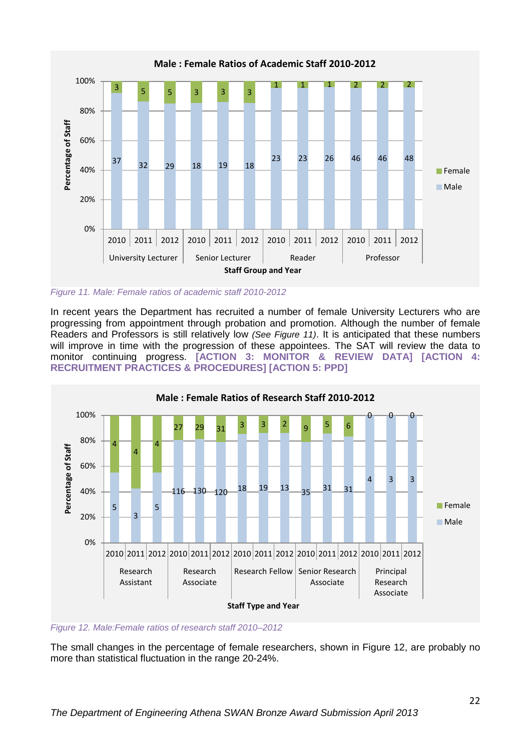

<span id="page-21-0"></span>*Figure 11. Male: Female ratios of academic staff 2010-2012*

In recent years the Department has recruited a number of female University Lecturers who are progressing from appointment through probation and promotion. Although the number of female Readers and Professors is still relatively low *(See Figure 11)*. It is anticipated that these numbers will improve in time with the progression of these appointees. The SAT will review the data to monitor continuing progress. **[ACTION 3: MONITOR & REVIEW DATA] [ACTION 4: RECRUITMENT PRACTICES & PROCEDURES] [ACTION 5: PPD]**



<span id="page-21-1"></span>*Figure 12. Male:Female ratios of research staff 2010–2012*

The small changes in the percentage of female researchers, shown in Figure 12, are probably no more than statistical fluctuation in the range 20-24%.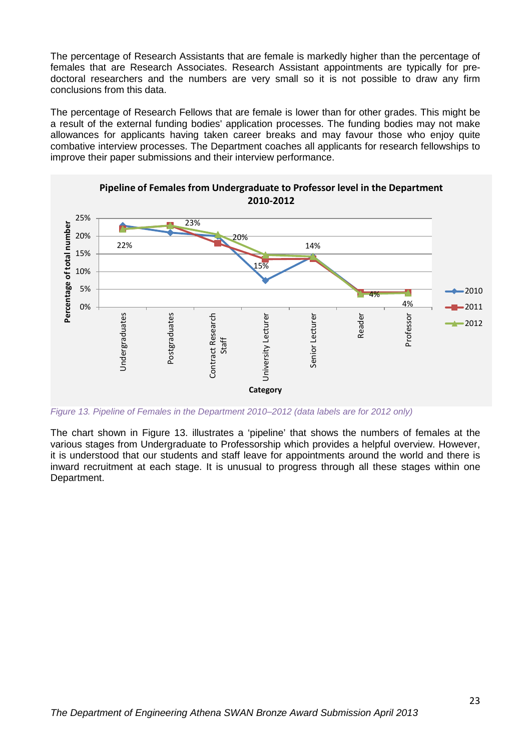The percentage of Research Assistants that are female is markedly higher than the percentage of females that are Research Associates. Research Assistant appointments are typically for predoctoral researchers and the numbers are very small so it is not possible to draw any firm conclusions from this data.

The percentage of Research Fellows that are female is lower than for other grades. This might be a result of the external funding bodies' application processes. The funding bodies may not make allowances for applicants having taken career breaks and may favour those who enjoy quite combative interview processes. The Department coaches all applicants for research fellowships to improve their paper submissions and their interview performance.



**Pipeline of Females from Undergraduate to Professor level in the Department 2010-2012**

<span id="page-22-0"></span>*Figure 13. Pipeline of Females in the Department 2010–2012 (data labels are for 2012 only)*

The chart shown in Figure 13. illustrates a 'pipeline' that shows the numbers of females at the various stages from Undergraduate to Professorship which provides a helpful overview. However, it is understood that our students and staff leave for appointments around the world and there is inward recruitment at each stage. It is unusual to progress through all these stages within one Department.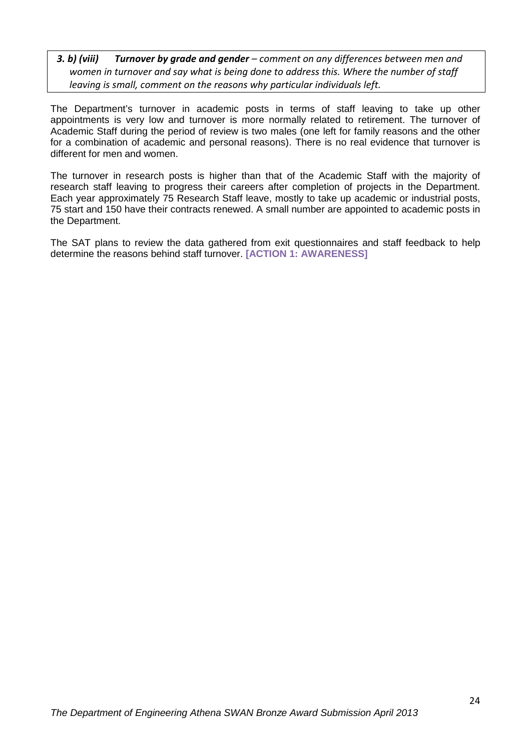#### *3. b) (viii) Turnover by grade and gender – comment on any differences between men and women in turnover and say what is being done to address this. Where the number of staff leaving is small, comment on the reasons why particular individuals left.*

The Department's turnover in academic posts in terms of staff leaving to take up other appointments is very low and turnover is more normally related to retirement. The turnover of Academic Staff during the period of review is two males (one left for family reasons and the other for a combination of academic and personal reasons). There is no real evidence that turnover is different for men and women.

The turnover in research posts is higher than that of the Academic Staff with the majority of research staff leaving to progress their careers after completion of projects in the Department. Each year approximately 75 Research Staff leave, mostly to take up academic or industrial posts, 75 start and 150 have their contracts renewed. A small number are appointed to academic posts in the Department.

The SAT plans to review the data gathered from exit questionnaires and staff feedback to help determine the reasons behind staff turnover. **[ACTION 1: AWARENESS]**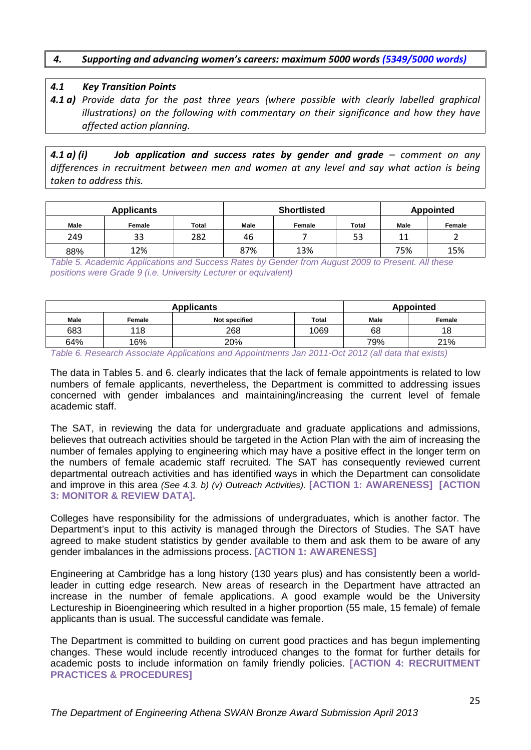#### *4. Supporting and advancing women's careers: maximum 5000 words (5349/5000 words)*

#### *4.1 Key Transition Points*

*4.1 a) Provide data for the past three years (where possible with clearly labelled graphical illustrations) on the following with commentary on their significance and how they have affected action planning.* 

*4.1 a) (i) Job application and success rates by gender and grade – comment on any differences in recruitment between men and women at any level and say what action is being taken to address this.*

| <b>Applicants</b> |        |       |      | <b>Shortlisted</b> | <b>Appointed</b> |                      |        |
|-------------------|--------|-------|------|--------------------|------------------|----------------------|--------|
| <b>Male</b>       | Female | Total | Male | Female             | <b>Total</b>     | Male                 | Female |
| 249               | 33     | 282   | 46   |                    | 53               | $\ddot{\phantom{0}}$ |        |
| 88%               | 12%    |       | 87%  | 13%                |                  | 75%                  | 15%    |

<span id="page-24-0"></span>*Table 5. Academic Applications and Success Rates by Gender from August 2009 to Present. All these positions were Grade 9 (i.e. University Lecturer or equivalent)*

|             | <b>Applicants</b> | Appointed     |              |             |        |
|-------------|-------------------|---------------|--------------|-------------|--------|
| <b>Male</b> | Female            | Not specified | <b>Total</b> | <b>Male</b> | Female |
| 683         | 118               | 268           | 1069         | 68          | 18     |
| 64%         | 16%               | 20%           |              | 79%         | 21%    |

<span id="page-24-1"></span>*Table 6. Research Associate Applications and Appointments Jan 2011-Oct 2012 (all data that exists)*

The data in Tables 5. and 6. clearly indicates that the lack of female appointments is related to low numbers of female applicants, nevertheless, the Department is committed to addressing issues concerned with gender imbalances and maintaining/increasing the current level of female academic staff.

The SAT, in reviewing the data for undergraduate and graduate applications and admissions, believes that outreach activities should be targeted in the Action Plan with the aim of increasing the number of females applying to engineering which may have a positive effect in the longer term on the numbers of female academic staff recruited. The SAT has consequently reviewed current departmental outreach activities and has identified ways in which the Department can consolidate and improve in this area *(See 4.3. b) (v) Outreach Activities).* **[ACTION 1: AWARENESS] [ACTION 3: MONITOR & REVIEW DATA].**

Colleges have responsibility for the admissions of undergraduates, which is another factor. The Department's input to this activity is managed through the Directors of Studies. The SAT have agreed to make student statistics by gender available to them and ask them to be aware of any gender imbalances in the admissions process. **[ACTION 1: AWARENESS]**

Engineering at Cambridge has a long history (130 years plus) and has consistently been a worldleader in cutting edge research. New areas of research in the Department have attracted an increase in the number of female applications. A good example would be the University Lectureship in Bioengineering which resulted in a higher proportion (55 male, 15 female) of female applicants than is usual. The successful candidate was female.

The Department is committed to building on current good practices and has begun implementing changes. These would include recently introduced changes to the format for further details for academic posts to include information on family friendly policies. **[ACTION 4: RECRUITMENT PRACTICES & PROCEDURES]**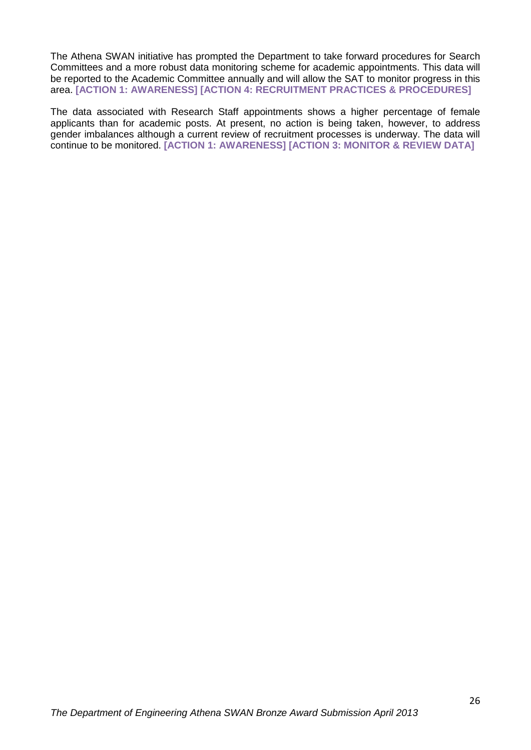The Athena SWAN initiative has prompted the Department to take forward procedures for Search Committees and a more robust data monitoring scheme for academic appointments. This data will be reported to the Academic Committee annually and will allow the SAT to monitor progress in this area. **[ACTION 1: AWARENESS] [ACTION 4: RECRUITMENT PRACTICES & PROCEDURES]**

The data associated with Research Staff appointments shows a higher percentage of female applicants than for academic posts. At present, no action is being taken, however, to address gender imbalances although a current review of recruitment processes is underway. The data will continue to be monitored. **[ACTION 1: AWARENESS] [ACTION 3: MONITOR & REVIEW DATA]**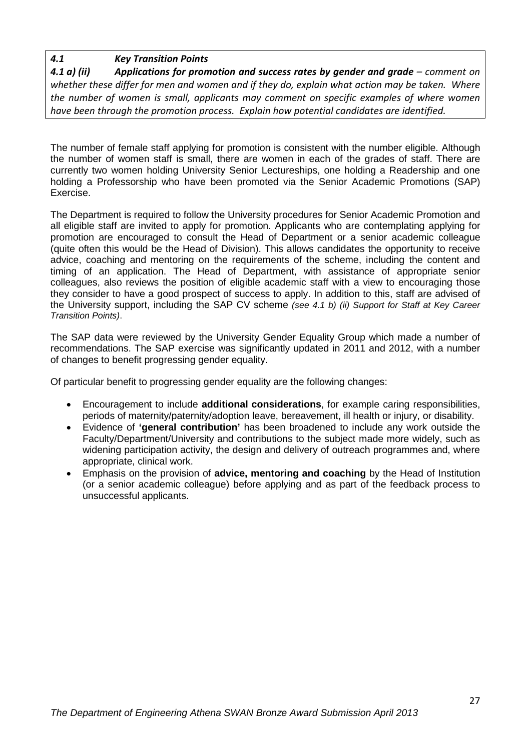## *4.1 Key Transition Points*

**4.1 a) (ii) Applications for promotion and success rates by gender and grade –** *comment on whether these differ for men and women and if they do, explain what action may be taken. Where the number of women is small, applicants may comment on specific examples of where women have been through the promotion process. Explain how potential candidates are identified.*

The number of female staff applying for promotion is consistent with the number eligible. Although the number of women staff is small, there are women in each of the grades of staff. There are currently two women holding University Senior Lectureships, one holding a Readership and one holding a Professorship who have been promoted via the Senior Academic Promotions (SAP) Exercise.

The Department is required to follow the University procedures for Senior Academic Promotion and all eligible staff are invited to apply for promotion. Applicants who are contemplating applying for promotion are encouraged to consult the Head of Department or a senior academic colleague (quite often this would be the Head of Division). This allows candidates the opportunity to receive advice, coaching and mentoring on the requirements of the scheme, including the content and timing of an application. The Head of Department, with assistance of appropriate senior colleagues, also reviews the position of eligible academic staff with a view to encouraging those they consider to have a good prospect of success to apply. In addition to this, staff are advised of the University support, including the SAP CV scheme *(see 4.1 b) (ii) Support for Staff at Key Career Transition Points)*.

The SAP data were reviewed by the University Gender Equality Group which made a number of recommendations. The SAP exercise was significantly updated in 2011 and 2012, with a number of changes to benefit progressing gender equality.

Of particular benefit to progressing gender equality are the following changes:

- Encouragement to include **additional considerations**, for example caring responsibilities, periods of maternity/paternity/adoption leave, bereavement, ill health or injury, or disability.
- Evidence of **'general contribution'** has been broadened to include any work outside the Faculty/Department/University and contributions to the subject made more widely, such as widening participation activity, the design and delivery of outreach programmes and, where appropriate, clinical work.
- Emphasis on the provision of **advice, mentoring and coaching** by the Head of Institution (or a senior academic colleague) before applying and as part of the feedback process to unsuccessful applicants.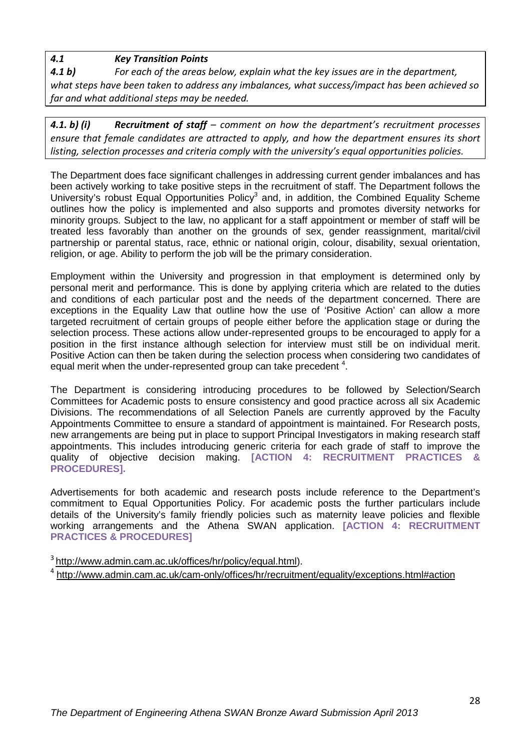*4.1 Key Transition Points*

*4.1 b) For each of the areas below, explain what the key issues are in the department, what steps have been taken to address any imbalances, what success/impact has been achieved so far and what additional steps may be needed.*

*4.1. b) (i) Recruitment of staff – comment on how the department's recruitment processes ensure that female candidates are attracted to apply, and how the department ensures its short listing, selection processes and criteria comply with the university's equal opportunities policies.* 

The Department does face significant challenges in addressing current gender imbalances and has been actively working to take positive steps in the recruitment of staff. The Department follows the University's robust Equal Opportunities Policy<sup>3</sup> and, in addition, the Combined Equality Scheme outlines how the policy is implemented and also supports and promotes diversity networks for minority groups. Subject to the law, no applicant for a staff appointment or member of staff will be treated less favorably than another on the grounds of sex, gender reassignment, marital/civil partnership or parental status, race, ethnic or national origin, colour, disability, sexual orientation, religion, or age. Ability to perform the job will be the primary consideration.

Employment within the University and progression in that employment is determined only by personal merit and performance. This is done by applying criteria which are related to the duties and conditions of each particular post and the needs of the department concerned. There are exceptions in the Equality Law that outline how the use of 'Positive Action' can allow a more targeted recruitment of certain groups of people either before the application stage or during the selection process. These actions allow under-represented groups to be encouraged to apply for a position in the first instance although selection for interview must still be on individual merit. Positive Action can then be taken during the selection process when considering two candidates of equal merit when the under-represented group can take precedent <sup>4</sup>.

The Department is considering introducing procedures to be followed by Selection/Search Committees for Academic posts to ensure consistency and good practice across all six Academic Divisions. The recommendations of all Selection Panels are currently approved by the Faculty Appointments Committee to ensure a standard of appointment is maintained. For Research posts, new arrangements are being put in place to support Principal Investigators in making research staff appointments. This includes introducing generic criteria for each grade of staff to improve the quality of objective decision making. **[ACTION 4: RECRUITMENT PRACTICES & PROCEDURES].**

Advertisements for both academic and research posts include reference to the Department's commitment to Equal Opportunities Policy. For academic posts the further particulars include details of the University's family friendly policies such as maternity leave policies and flexible working arrangements and the Athena SWAN application. **[ACTION 4: RECRUITMENT PRACTICES & PROCEDURES]**

<sup>3</sup> [http://www.admin.cam.ac.uk/offices/hr/policy/equal.html\)](http://www.admin.cam.ac.uk/offices/hr/policy/equal.html). <sup>4</sup> <http://www.admin.cam.ac.uk/cam-only/offices/hr/recruitment/equality/exceptions.html#action>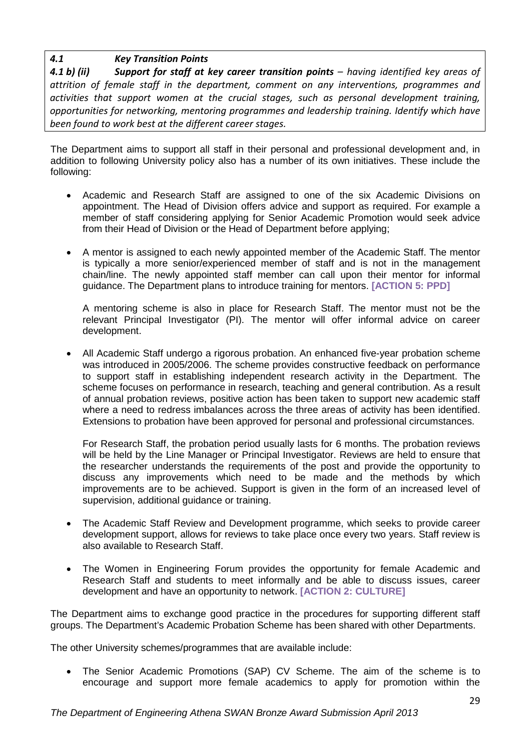# *4.1 Key Transition Points*

*4.1 b) (ii) Support for staff at key career transition points – having identified key areas of attrition of female staff in the department, comment on any interventions, programmes and activities that support women at the crucial stages, such as personal development training, opportunities for networking, mentoring programmes and leadership training. Identify which have been found to work best at the different career stages.* 

The Department aims to support all staff in their personal and professional development and, in addition to following University policy also has a number of its own initiatives. These include the following:

- Academic and Research Staff are assigned to one of the six Academic Divisions on appointment. The Head of Division offers advice and support as required. For example a member of staff considering applying for Senior Academic Promotion would seek advice from their Head of Division or the Head of Department before applying;
- A mentor is assigned to each newly appointed member of the Academic Staff. The mentor is typically a more senior/experienced member of staff and is not in the management chain/line. The newly appointed staff member can call upon their mentor for informal guidance. The Department plans to introduce training for mentors. **[ACTION 5: PPD]**

A mentoring scheme is also in place for Research Staff. The mentor must not be the relevant Principal Investigator (PI). The mentor will offer informal advice on career development.

• All Academic Staff undergo a rigorous probation. An enhanced five-year probation scheme was introduced in 2005/2006. The scheme provides constructive feedback on performance to support staff in establishing independent research activity in the Department. The scheme focuses on performance in research, teaching and general contribution. As a result of annual probation reviews, positive action has been taken to support new academic staff where a need to redress imbalances across the three areas of activity has been identified. Extensions to probation have been approved for personal and professional circumstances.

For Research Staff, the probation period usually lasts for 6 months. The probation reviews will be held by the Line Manager or Principal Investigator. Reviews are held to ensure that the researcher understands the requirements of the post and provide the opportunity to discuss any improvements which need to be made and the methods by which improvements are to be achieved. Support is given in the form of an increased level of supervision, additional guidance or training.

- The Academic Staff Review and Development programme, which seeks to provide career development support, allows for reviews to take place once every two years. Staff review is also available to Research Staff.
- The Women in Engineering Forum provides the opportunity for female Academic and Research Staff and students to meet informally and be able to discuss issues, career development and have an opportunity to network. **[ACTION 2: CULTURE]**

The Department aims to exchange good practice in the procedures for supporting different staff groups. The Department's Academic Probation Scheme has been shared with other Departments.

The other University schemes/programmes that are available include:

• The Senior Academic Promotions (SAP) CV Scheme. The aim of the scheme is to encourage and support more female academics to apply for promotion within the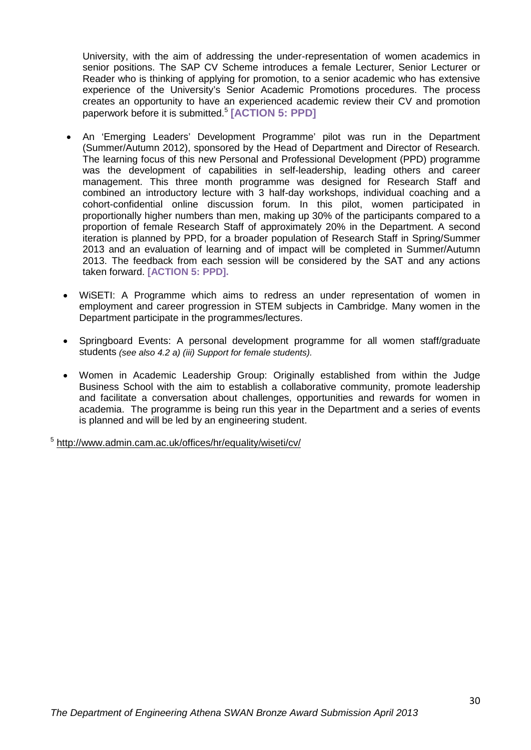University, with the aim of addressing the under-representation of women academics in senior positions. The SAP CV Scheme introduces a female Lecturer, Senior Lecturer or Reader who is thinking of applying for promotion, to a senior academic who has extensive experience of the University's Senior Academic Promotions procedures. The process creates an opportunity to have an experienced academic review their CV and promotion paperwork before it is submitted.<sup>5</sup> **[ACTION 5: PPD]**

- An 'Emerging Leaders' Development Programme' pilot was run in the Department (Summer/Autumn 2012), sponsored by the Head of Department and Director of Research. The learning focus of this new Personal and Professional Development (PPD) programme was the development of capabilities in self-leadership, leading others and career management. This three month programme was designed for Research Staff and combined an introductory lecture with 3 half-day workshops, individual coaching and a cohort-confidential online discussion forum. In this pilot, women participated in proportionally higher numbers than men, making up 30% of the participants compared to a proportion of female Research Staff of approximately 20% in the Department. A second iteration is planned by PPD, for a broader population of Research Staff in Spring/Summer 2013 and an evaluation of learning and of impact will be completed in Summer/Autumn 2013. The feedback from each session will be considered by the SAT and any actions taken forward. **[ACTION 5: PPD].**
- WiSETI: A Programme which aims to redress an under representation of women in employment and career progression in STEM subjects in Cambridge. Many women in the Department participate in the programmes/lectures.
- Springboard Events: A personal development programme for all women staff/graduate students *(see also 4.2 a) (iii) Support for female students).*
- Women in Academic Leadership Group: Originally established from within the Judge Business School with the aim to establish a collaborative community, promote leadership and facilitate a conversation about challenges, opportunities and rewards for women in academia. The programme is being run this year in the Department and a series of events is planned and will be led by an engineering student.

<sup>5</sup> <http://www.admin.cam.ac.uk/offices/hr/equality/wiseti/cv/>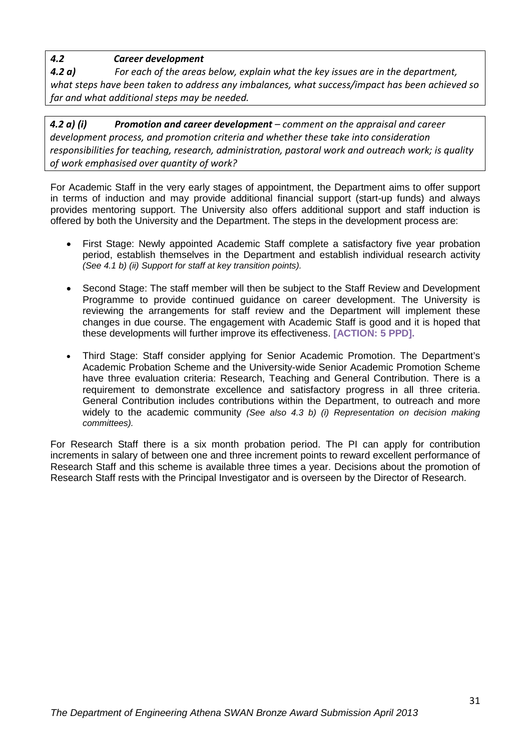# *4.2 Career development*

*4.2 a) For each of the areas below, explain what the key issues are in the department, what steps have been taken to address any imbalances, what success/impact has been achieved so far and what additional steps may be needed.*

*4.2 a) (i) Promotion and career development – comment on the appraisal and career development process, and promotion criteria and whether these take into consideration responsibilities for teaching, research, administration, pastoral work and outreach work; is quality of work emphasised over quantity of work?* 

For Academic Staff in the very early stages of appointment, the Department aims to offer support in terms of induction and may provide additional financial support (start-up funds) and always provides mentoring support. The University also offers additional support and staff induction is offered by both the University and the Department. The steps in the development process are:

- First Stage: Newly appointed Academic Staff complete a satisfactory five year probation period, establish themselves in the Department and establish individual research activity *(See 4.1 b) (ii) Support for staff at key transition points).*
- Second Stage: The staff member will then be subject to the Staff Review and Development Programme to provide continued guidance on career development. The University is reviewing the arrangements for staff review and the Department will implement these changes in due course. The engagement with Academic Staff is good and it is hoped that these developments will further improve its effectiveness. **[ACTION: 5 PPD].**
- Third Stage: Staff consider applying for Senior Academic Promotion. The Department's Academic Probation Scheme and the University-wide Senior Academic Promotion Scheme have three evaluation criteria: Research, Teaching and General Contribution. There is a requirement to demonstrate excellence and satisfactory progress in all three criteria. General Contribution includes contributions within the Department, to outreach and more widely to the academic community *(See also 4.3 b) (i) Representation on decision making committees).*

For Research Staff there is a six month probation period. The PI can apply for contribution increments in salary of between one and three increment points to reward excellent performance of Research Staff and this scheme is available three times a year. Decisions about the promotion of Research Staff rests with the Principal Investigator and is overseen by the Director of Research.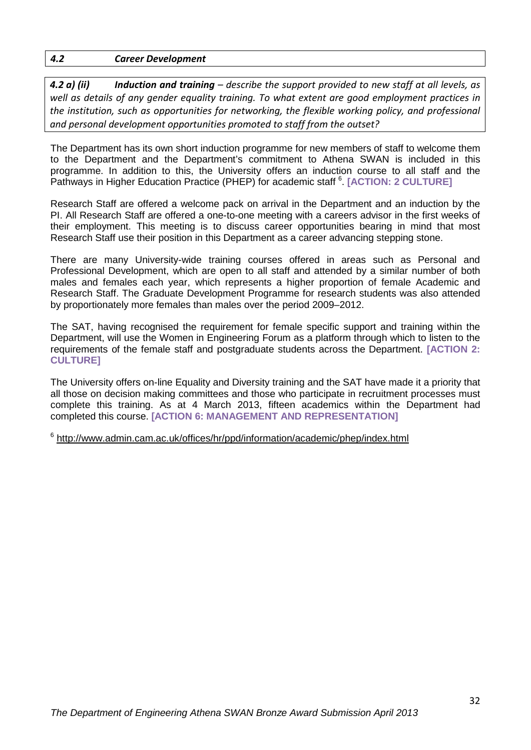#### *4.2 Career Development*

*4.2 a) (ii) Induction and training – describe the support provided to new staff at all levels, as well as details of any gender equality training. To what extent are good employment practices in the institution, such as opportunities for networking, the flexible working policy, and professional and personal development opportunities promoted to staff from the outset?* 

The Department has its own short induction programme for new members of staff to welcome them to the Department and the Department's commitment to Athena SWAN is included in this programme. In addition to this, the University offers an induction course to all staff and the Pathways in Higher Education Practice (PHEP) for academic staff <sup>6</sup>. [ACTION: 2 CULTURE]

Research Staff are offered a welcome pack on arrival in the Department and an induction by the PI. All Research Staff are offered a one-to-one meeting with a careers advisor in the first weeks of their employment. This meeting is to discuss career opportunities bearing in mind that most Research Staff use their position in this Department as a career advancing stepping stone.

There are many University-wide training courses offered in areas such as Personal and Professional Development, which are open to all staff and attended by a similar number of both males and females each year, which represents a higher proportion of female Academic and Research Staff. The Graduate Development Programme for research students was also attended by proportionately more females than males over the period 2009–2012.

The SAT, having recognised the requirement for female specific support and training within the Department, will use the Women in Engineering Forum as a platform through which to listen to the requirements of the female staff and postgraduate students across the Department. **[ACTION 2: CULTURE]**

The University offers on-line Equality and Diversity training and the SAT have made it a priority that all those on decision making committees and those who participate in recruitment processes must complete this training. As at 4 March 2013, fifteen academics within the Department had completed this course. **[ACTION 6: MANAGEMENT AND REPRESENTATION]**

<sup>6</sup> <http://www.admin.cam.ac.uk/offices/hr/ppd/information/academic/phep/index.html>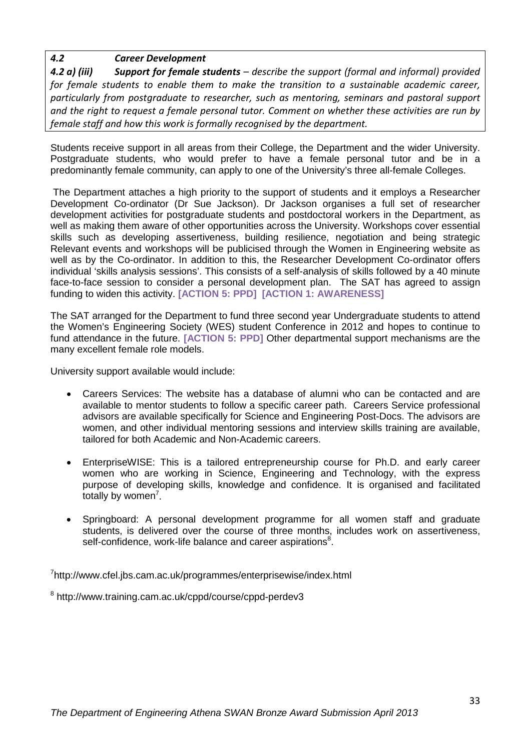## *4.2 Career Development*

*4.2 a) (iii) Support for female students – describe the support (formal and informal) provided for female students to enable them to make the transition to a sustainable academic career, particularly from postgraduate to researcher, such as mentoring, seminars and pastoral support and the right to request a female personal tutor. Comment on whether these activities are run by female staff and how this work is formally recognised by the department.*

Students receive support in all areas from their College, the Department and the wider University. Postgraduate students, who would prefer to have a female personal tutor and be in a predominantly female community, can apply to one of the University's three all-female Colleges.

The Department attaches a high priority to the support of students and it employs a Researcher Development Co-ordinator (Dr Sue Jackson). Dr Jackson organises a full set of researcher development activities for postgraduate students and postdoctoral workers in the Department, as well as making them aware of other opportunities across the University. Workshops cover essential skills such as developing assertiveness, building resilience, negotiation and being strategic Relevant events and workshops will be publicised through the Women in Engineering website as well as by the Co-ordinator. In addition to this, the Researcher Development Co-ordinator offers individual 'skills analysis sessions'. This consists of a self-analysis of skills followed by a 40 minute face-to-face session to consider a personal development plan. The SAT has agreed to assign funding to widen this activity. **[ACTION 5: PPD] [ACTION 1: AWARENESS]**

The SAT arranged for the Department to fund three second year Undergraduate students to attend the Women's Engineering Society (WES) student Conference in 2012 and hopes to continue to fund attendance in the future. **[ACTION 5: PPD]** Other departmental support mechanisms are the many excellent female role models.

University support available would include:

- Careers Services: The website has a database of alumni who can be contacted and are available to mentor students to follow a specific career path. Careers Service professional advisors are available specifically for Science and Engineering Post-Docs. The advisors are women, and other individual mentoring sessions and interview skills training are available, tailored for both Academic and Non-Academic careers.
- EnterpriseWISE: This is a tailored entrepreneurship course for Ph.D. and early career women who are working in Science, Engineering and Technology, with the express purpose of developing skills, knowledge and confidence. It is organised and facilitated totally by women<sup>7</sup>.
- Springboard: A personal development programme for all women staff and graduate students, is delivered over the course of three months, includes work on assertiveness, self-confidence, work-life balance and career aspirations $8$ .

<sup>7</sup>http://www.cfel.jbs.cam.ac.uk/programmes/enterprisewise/index.html

<sup>8</sup> http://www.training.cam.ac.uk/cppd/course/cppd-perdev3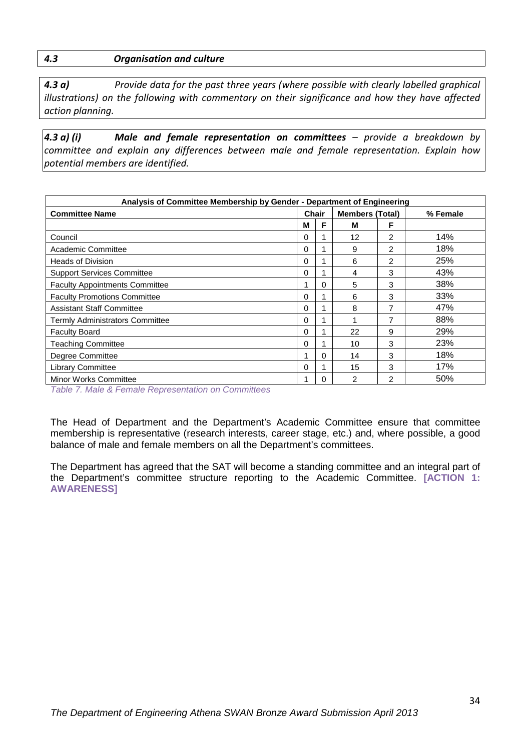*4.3 a) Provide data for the past three years (where possible with clearly labelled graphical illustrations) on the following with commentary on their significance and how they have affected action planning.* 

*4.3 a) (i) Male and female representation on committees – provide a breakdown by committee and explain any differences between male and female representation. Explain how potential members are identified.*

| Analysis of Committee Membership by Gender - Department of Engineering |       |   |                        |                |          |
|------------------------------------------------------------------------|-------|---|------------------------|----------------|----------|
| <b>Committee Name</b>                                                  | Chair |   | <b>Members (Total)</b> |                | % Female |
|                                                                        | M     | F | М                      | F              |          |
| Council                                                                | 0     |   | 12                     | 2              | 14%      |
| Academic Committee                                                     | 0     |   | 9                      | $\overline{2}$ | 18%      |
| <b>Heads of Division</b>                                               | 0     |   | 6                      | $\overline{2}$ | 25%      |
| <b>Support Services Committee</b>                                      | 0     |   | 4                      | 3              | 43%      |
| <b>Faculty Appointments Committee</b>                                  |       | 0 | 5                      | 3              | 38%      |
| <b>Faculty Promotions Committee</b>                                    | 0     |   | 6                      | 3              | 33%      |
| <b>Assistant Staff Committee</b>                                       | 0     |   | 8                      | 7              | 47%      |
| <b>Termly Administrators Committee</b>                                 | 0     |   | 1                      | 7              | 88%      |
| <b>Faculty Board</b>                                                   | 0     |   | 22                     | 9              | 29%      |
| <b>Teaching Committee</b>                                              | 0     |   | 10                     | 3              | 23%      |
| Degree Committee                                                       | 1     | 0 | 14                     | 3              | 18%      |
| <b>Library Committee</b>                                               | 0     |   | 15                     | 3              | 17%      |
| Minor Works Committee                                                  | 1     | O | $\mathcal{P}$          | $\mathcal{P}$  | 50%      |

<span id="page-33-0"></span>*Table 7. Male & Female Representation on Committees*

The Head of Department and the Department's Academic Committee ensure that committee membership is representative (research interests, career stage, etc.) and, where possible, a good balance of male and female members on all the Department's committees.

The Department has agreed that the SAT will become a standing committee and an integral part of the Department's committee structure reporting to the Academic Committee. **[ACTION 1: AWARENESS]**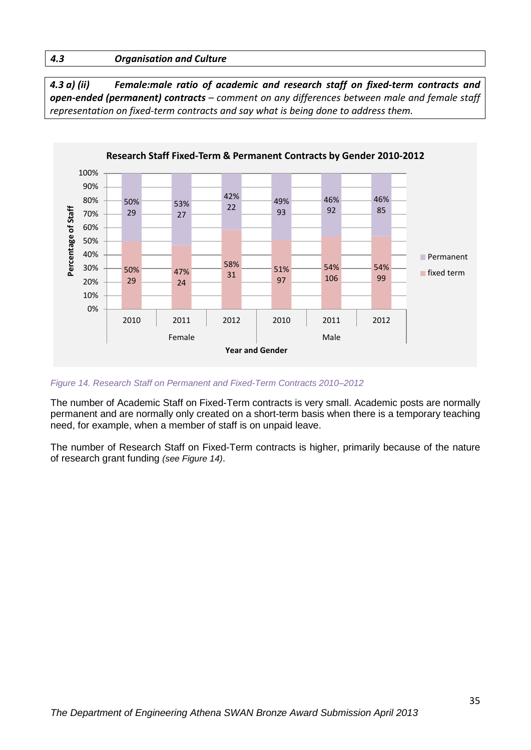*4.3 a) (ii) Female:male ratio of academic and research staff on fixed-term contracts and open-ended (permanent) contracts – comment on any differences between male and female staff representation on fixed-term contracts and say what is being done to address them.*



#### <span id="page-34-0"></span>*Figure 14. Research Staff on Permanent and Fixed-Term Contracts 2010–2012*

The number of Academic Staff on Fixed-Term contracts is very small. Academic posts are normally permanent and are normally only created on a short-term basis when there is a temporary teaching need, for example, when a member of staff is on unpaid leave.

The number of Research Staff on Fixed-Term contracts is higher, primarily because of the nature of research grant funding *(see Figure 14)*.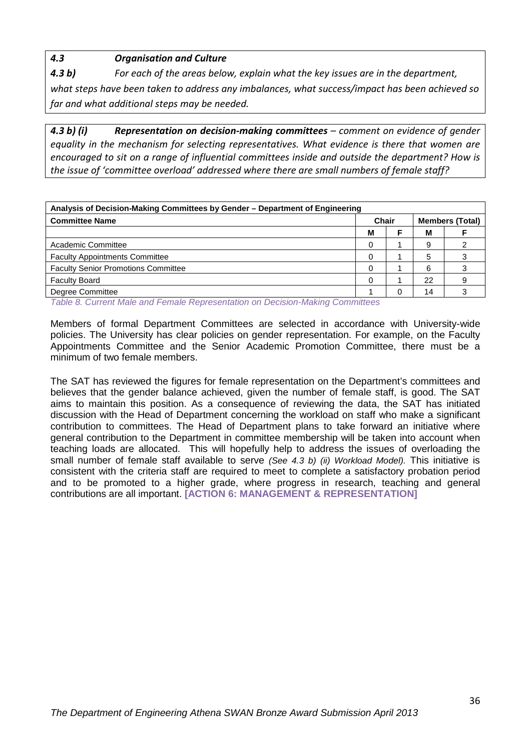*4.3 b) For each of the areas below, explain what the key issues are in the department,* 

*what steps have been taken to address any imbalances, what success/impact has been achieved so far and what additional steps may be needed.*

*4.3 b) (i) Representation on decision-making committees – comment on evidence of gender equality in the mechanism for selecting representatives. What evidence is there that women are encouraged to sit on a range of influential committees inside and outside the department? How is the issue of 'committee overload' addressed where there are small numbers of female staff?*

| Analysis of Decision-Making Committees by Gender – Department of Engineering                 |                                 |   |    |  |
|----------------------------------------------------------------------------------------------|---------------------------------|---|----|--|
| <b>Committee Name</b>                                                                        | Chair<br><b>Members (Total)</b> |   |    |  |
|                                                                                              | M                               |   | М  |  |
| Academic Committee                                                                           | 0                               |   | 9  |  |
| <b>Faculty Appointments Committee</b>                                                        | 0                               |   | 5  |  |
| <b>Faculty Senior Promotions Committee</b>                                                   |                                 |   | 6  |  |
| <b>Faculty Board</b>                                                                         |                                 |   | 22 |  |
| Degree Committee                                                                             |                                 | ∩ | 14 |  |
| $T_2$ kko $\alpha$ , Orangert Malaysia Hamala Hamaragatatan an Dagistan Malitan Orangetta as |                                 |   |    |  |

<span id="page-35-0"></span>*Table 8. Current Male and Female Representation on Decision-Making Committees*

Members of formal Department Committees are selected in accordance with University-wide policies. The University has clear policies on gender representation. For example, on the Faculty Appointments Committee and the Senior Academic Promotion Committee, there must be a minimum of two female members.

The SAT has reviewed the figures for female representation on the Department's committees and believes that the gender balance achieved, given the number of female staff, is good. The SAT aims to maintain this position. As a consequence of reviewing the data, the SAT has initiated discussion with the Head of Department concerning the workload on staff who make a significant contribution to committees. The Head of Department plans to take forward an initiative where general contribution to the Department in committee membership will be taken into account when teaching loads are allocated. This will hopefully help to address the issues of overloading the small number of female staff available to serve *(See 4.3 b) (ii) Workload Model).* This initiative is consistent with the criteria staff are required to meet to complete a satisfactory probation period and to be promoted to a higher grade, where progress in research, teaching and general contributions are all important. **[ACTION 6: MANAGEMENT & REPRESENTATION]**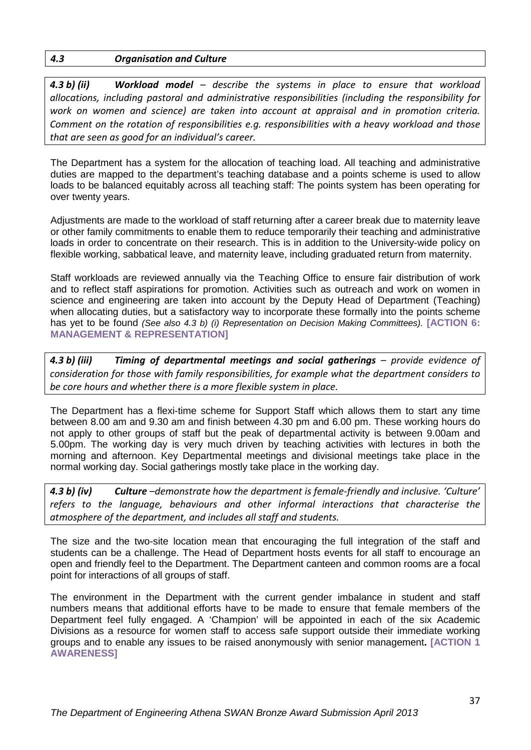*4.3 b) (ii) Workload model – describe the systems in place to ensure that workload allocations, including pastoral and administrative responsibilities (including the responsibility for work on women and science) are taken into account at appraisal and in promotion criteria. Comment on the rotation of responsibilities e.g. responsibilities with a heavy workload and those that are seen as good for an individual's career.*

The Department has a system for the allocation of teaching load. All teaching and administrative duties are mapped to the department's teaching database and a points scheme is used to allow loads to be balanced equitably across all teaching staff: The points system has been operating for over twenty years.

Adjustments are made to the workload of staff returning after a career break due to maternity leave or other family commitments to enable them to reduce temporarily their teaching and administrative loads in order to concentrate on their research. This is in addition to the University-wide policy on flexible working, sabbatical leave, and maternity leave, including graduated return from maternity.

Staff workloads are reviewed annually via the Teaching Office to ensure fair distribution of work and to reflect staff aspirations for promotion. Activities such as outreach and work on women in science and engineering are taken into account by the Deputy Head of Department (Teaching) when allocating duties, but a satisfactory way to incorporate these formally into the points scheme has yet to be found *(See also 4.3 b) (i) Representation on Decision Making Committees).* **[ACTION 6: MANAGEMENT & REPRESENTATION]**

*4.3 b) (iii) Timing of departmental meetings and social gatherings – provide evidence of consideration for those with family responsibilities, for example what the department considers to be core hours and whether there is a more flexible system in place.*

The Department has a flexi-time scheme for Support Staff which allows them to start any time between 8.00 am and 9.30 am and finish between 4.30 pm and 6.00 pm. These working hours do not apply to other groups of staff but the peak of departmental activity is between 9.00am and 5.00pm. The working day is very much driven by teaching activities with lectures in both the morning and afternoon. Key Departmental meetings and divisional meetings take place in the normal working day. Social gatherings mostly take place in the working day.

*4.3 b) (iv) Culture –demonstrate how the department is female-friendly and inclusive. 'Culture' refers to the language, behaviours and other informal interactions that characterise the atmosphere of the department, and includes all staff and students.* 

The size and the two-site location mean that encouraging the full integration of the staff and students can be a challenge. The Head of Department hosts events for all staff to encourage an open and friendly feel to the Department. The Department canteen and common rooms are a focal point for interactions of all groups of staff.

The environment in the Department with the current gender imbalance in student and staff numbers means that additional efforts have to be made to ensure that female members of the Department feel fully engaged. A 'Champion' will be appointed in each of the six Academic Divisions as a resource for women staff to access safe support outside their immediate working groups and to enable any issues to be raised anonymously with senior management**. [ACTION 1 AWARENESS]**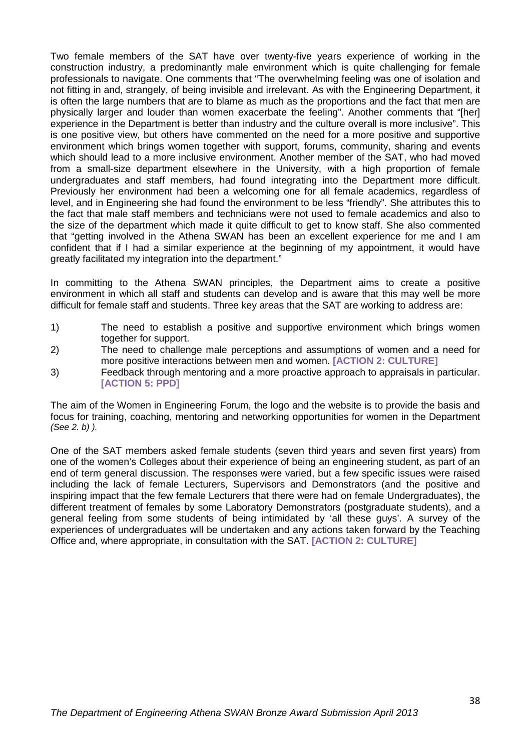Two female members of the SAT have over twenty-five years experience of working in the construction industry, a predominantly male environment which is quite challenging for female professionals to navigate. One comments that "The overwhelming feeling was one of isolation and not fitting in and, strangely, of being invisible and irrelevant. As with the Engineering Department, it is often the large numbers that are to blame as much as the proportions and the fact that men are physically larger and louder than women exacerbate the feeling". Another comments that "[her] experience in the Department is better than industry and the culture overall is more inclusive". This is one positive view, but others have commented on the need for a more positive and supportive environment which brings women together with support, forums, community, sharing and events which should lead to a more inclusive environment. Another member of the SAT, who had moved from a small-size department elsewhere in the University, with a high proportion of female undergraduates and staff members, had found integrating into the Department more difficult. Previously her environment had been a welcoming one for all female academics, regardless of level, and in Engineering she had found the environment to be less "friendly". She attributes this to the fact that male staff members and technicians were not used to female academics and also to the size of the department which made it quite difficult to get to know staff. She also commented that "getting involved in the Athena SWAN has been an excellent experience for me and I am confident that if I had a similar experience at the beginning of my appointment, it would have greatly facilitated my integration into the department."

In committing to the Athena SWAN principles, the Department aims to create a positive environment in which all staff and students can develop and is aware that this may well be more difficult for female staff and students. Three key areas that the SAT are working to address are:

- 1) The need to establish a positive and supportive environment which brings women together for support.
- 2) The need to challenge male perceptions and assumptions of women and a need for more positive interactions between men and women. **[ACTION 2: CULTURE]**
- 3) Feedback through mentoring and a more proactive approach to appraisals in particular. **[ACTION 5: PPD]**

The aim of the Women in Engineering Forum, the logo and the website is to provide the basis and focus for training, coaching, mentoring and networking opportunities for women in the Department *(See 2. b) ).*

One of the SAT members asked female students (seven third years and seven first years) from one of the women's Colleges about their experience of being an engineering student, as part of an end of term general discussion. The responses were varied, but a few specific issues were raised including the lack of female Lecturers, Supervisors and Demonstrators (and the positive and inspiring impact that the few female Lecturers that there were had on female Undergraduates), the different treatment of females by some Laboratory Demonstrators (postgraduate students), and a general feeling from some students of being intimidated by 'all these guys'. A survey of the experiences of undergraduates will be undertaken and any actions taken forward by the Teaching Office and, where appropriate, in consultation with the SAT. **[ACTION 2: CULTURE]**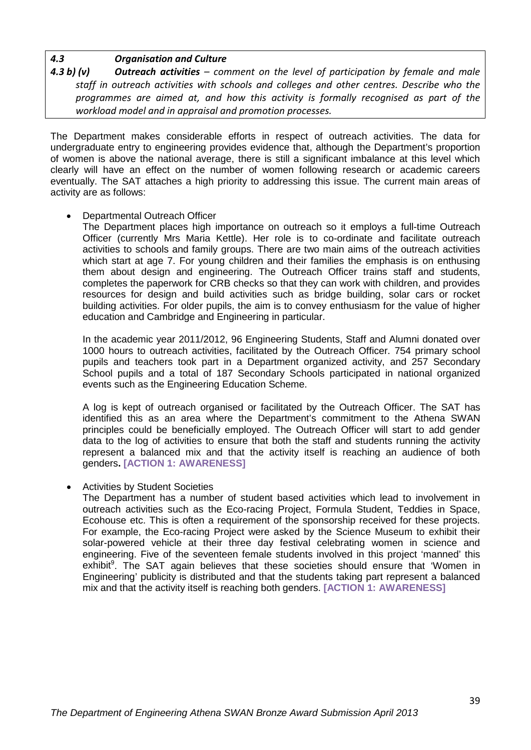*4.3 b) (v) Outreach activities – comment on the level of participation by female and male staff in outreach activities with schools and colleges and other centres. Describe who the programmes are aimed at, and how this activity is formally recognised as part of the workload model and in appraisal and promotion processes.* 

The Department makes considerable efforts in respect of outreach activities. The data for undergraduate entry to engineering provides evidence that, although the Department's proportion of women is above the national average, there is still a significant imbalance at this level which clearly will have an effect on the number of women following research or academic careers eventually. The SAT attaches a high priority to addressing this issue. The current main areas of activity are as follows:

• Departmental Outreach Officer

The Department places high importance on outreach so it employs a full-time Outreach Officer (currently Mrs Maria Kettle). Her role is to co-ordinate and facilitate outreach activities to schools and family groups. There are two main aims of the outreach activities which start at age 7. For young children and their families the emphasis is on enthusing them about design and engineering. The Outreach Officer trains staff and students, completes the paperwork for CRB checks so that they can work with children, and provides resources for design and build activities such as bridge building, solar cars or rocket building activities. For older pupils, the aim is to convey enthusiasm for the value of higher education and Cambridge and Engineering in particular.

In the academic year 2011/2012, 96 Engineering Students, Staff and Alumni donated over 1000 hours to outreach activities, facilitated by the Outreach Officer. 754 primary school pupils and teachers took part in a Department organized activity, and 257 Secondary School pupils and a total of 187 Secondary Schools participated in national organized events such as the Engineering Education Scheme.

A log is kept of outreach organised or facilitated by the Outreach Officer. The SAT has identified this as an area where the Department's commitment to the Athena SWAN principles could be beneficially employed. The Outreach Officer will start to add gender data to the log of activities to ensure that both the staff and students running the activity represent a balanced mix and that the activity itself is reaching an audience of both genders**. [ACTION 1: AWARENESS]**

• Activities by Student Societies

The Department has a number of student based activities which lead to involvement in outreach activities such as the Eco-racing Project, Formula Student, Teddies in Space, Ecohouse etc. This is often a requirement of the sponsorship received for these projects. For example, the Eco-racing Project were asked by the Science Museum to exhibit their solar-powered vehicle at their three day festival celebrating women in science and engineering. Five of the seventeen female students involved in this project 'manned' this exhibit<sup>9</sup>. The SAT again believes that these societies should ensure that 'Women in Engineering' publicity is distributed and that the students taking part represent a balanced mix and that the activity itself is reaching both genders. **[ACTION 1: AWARENESS]**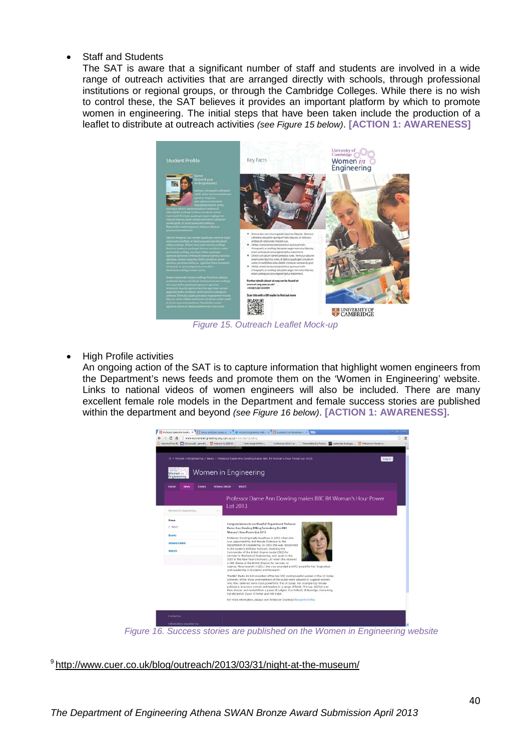#### • Staff and Students

The SAT is aware that a significant number of staff and students are involved in a wide range of outreach activities that are arranged directly with schools, through professional institutions or regional groups, or through the Cambridge Colleges. While there is no wish to control these, the SAT believes it provides an important platform by which to promote women in engineering. The initial steps that have been taken include the production of a leaflet to distribute at outreach activities *(see Figure 15 below)*. **[ACTION 1: AWARENESS]**



*Figure 15. Outreach Leaflet Mock-up*

<span id="page-39-0"></span>• High Profile activities

An ongoing action of the SAT is to capture information that highlight women engineers from the Department's news feeds and promote them on the 'Women in Engineering' website. Links to national videos of women engineers will also be included. There are many excellent female role models in the Department and female success stories are published within the department and beyond *(see Figure 16 below)*. **[ACTION 1: AWARENESS].** 



*Figure 16. Success stories are published on the Women in Engineering website*

<span id="page-39-1"></span><sup>9</sup> <http://www.cuer.co.uk/blog/outreach/2013/03/31/night-at-the-museum/>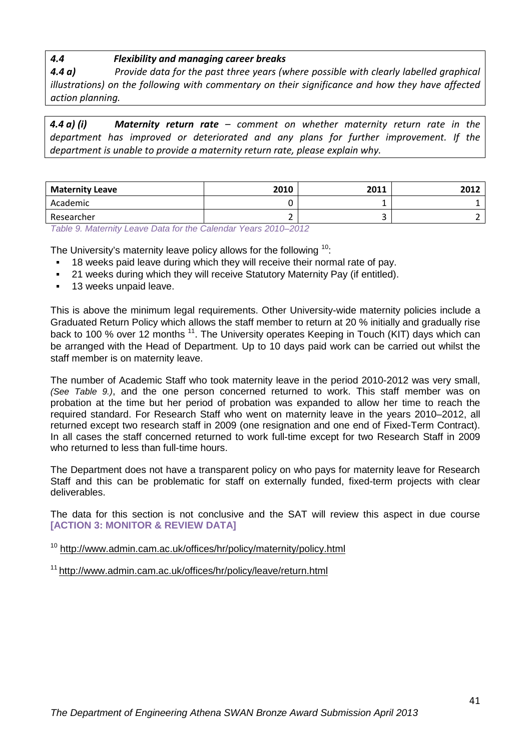### *4.4 Flexibility and managing career breaks*

*4.4 a) Provide data for the past three years (where possible with clearly labelled graphical illustrations) on the following with commentary on their significance and how they have affected action planning.* 

*4.4 a) (i) Maternity return rate – comment on whether maternity return rate in the department has improved or deteriorated and any plans for further improvement. If the department is unable to provide a maternity return rate, please explain why.*

| <b>Maternity Leave</b> | 2010 | 2011 | 2012 |
|------------------------|------|------|------|
| Academic               |      |      |      |
| Researcher             |      |      |      |

<span id="page-40-0"></span>*Table 9. Maternity Leave Data for the Calendar Years 2010–2012*

The University's maternity leave policy allows for the following <sup>10</sup>:

- 18 weeks paid leave during which they will receive their normal rate of pay.
- 21 weeks during which they will receive Statutory Maternity Pay (if entitled).
- **13 weeks unpaid leave.**

This is above the minimum legal requirements. Other University-wide maternity policies include a Graduated Return Policy which allows the staff member to return at 20 % initially and gradually rise back to 100 % over 12 months <sup>11</sup>. The University operates Keeping in Touch (KIT) days which can be arranged with the Head of Department. Up to 10 days paid work can be carried out whilst the staff member is on maternity leave.

The number of Academic Staff who took maternity leave in the period 2010-2012 was very small, *(See Table 9.)*, and the one person concerned returned to work. This staff member was on probation at the time but her period of probation was expanded to allow her time to reach the required standard. For Research Staff who went on maternity leave in the years 2010–2012, all returned except two research staff in 2009 (one resignation and one end of Fixed-Term Contract). In all cases the staff concerned returned to work full-time except for two Research Staff in 2009 who returned to less than full-time hours.

The Department does not have a transparent policy on who pays for maternity leave for Research Staff and this can be problematic for staff on externally funded, fixed-term projects with clear deliverables.

The data for this section is not conclusive and the SAT will review this aspect in due course **[ACTION 3: MONITOR & REVIEW DATA]**

<sup>10</sup> <http://www.admin.cam.ac.uk/offices/hr/policy/maternity/policy.html>

<sup>11</sup> <http://www.admin.cam.ac.uk/offices/hr/policy/leave/return.html>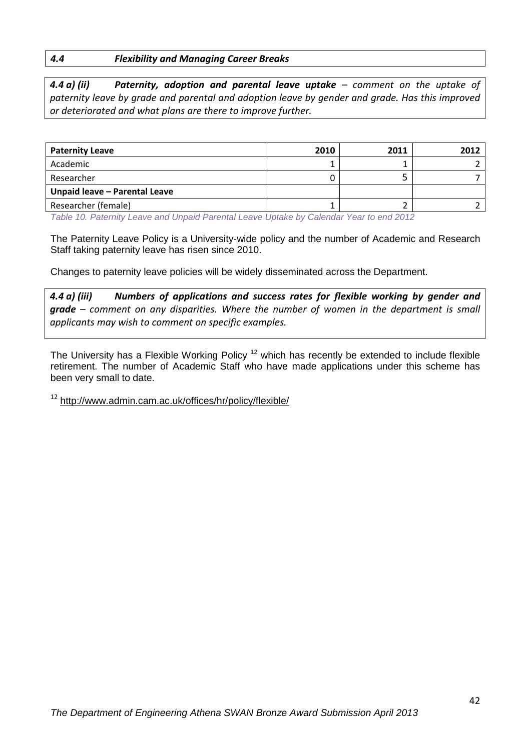#### *4.4 Flexibility and Managing Career Breaks*

*4.4 a) (ii) Paternity, adoption and parental leave uptake – comment on the uptake of paternity leave by grade and parental and adoption leave by gender and grade. Has this improved or deteriorated and what plans are there to improve further.*

| <b>Paternity Leave</b>        | 2010 | 2011 | 2012 |
|-------------------------------|------|------|------|
| Academic                      |      |      |      |
| Researcher                    |      |      |      |
| Unpaid leave - Parental Leave |      |      |      |
| Researcher (female)           |      |      |      |

<span id="page-41-0"></span>*Table 10. Paternity Leave and Unpaid Parental Leave Uptake by Calendar Year to end 2012*

The Paternity Leave Policy is a University-wide policy and the number of Academic and Research Staff taking paternity leave has risen since 2010.

Changes to paternity leave policies will be widely disseminated across the Department.

*4.4 a) (iii) Numbers of applications and success rates for flexible working by gender and grade – comment on any disparities. Where the number of women in the department is small applicants may wish to comment on specific examples.*

The University has a Flexible Working Policy<sup>12</sup> which has recently be extended to include flexible retirement. The number of Academic Staff who have made applications under this scheme has been very small to date.

<sup>12</sup> <http://www.admin.cam.ac.uk/offices/hr/policy/flexible/>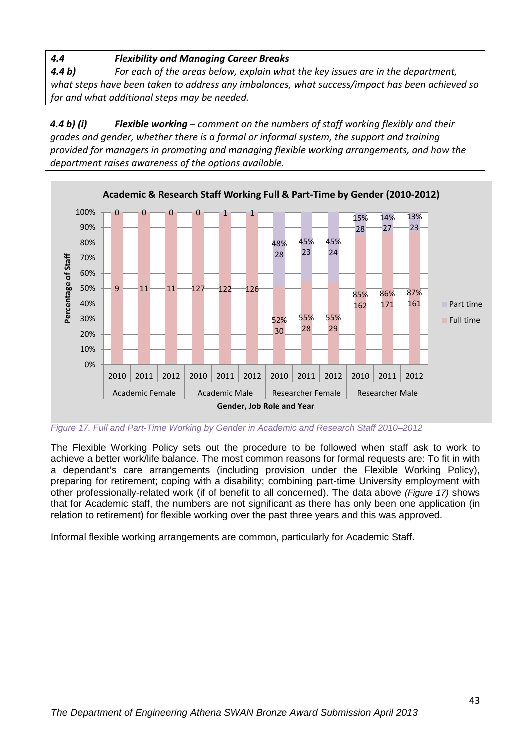*4.4 Flexibility and Managing Career Breaks*

*4.4 b) For each of the areas below, explain what the key issues are in the department, what steps have been taken to address any imbalances, what success/impact has been achieved so far and what additional steps may be needed.*

*4.4 b) (i) Flexible working – comment on the numbers of staff working flexibly and their grades and gender, whether there is a formal or informal system, the support and training provided for managers in promoting and managing flexible working arrangements, and how the department raises awareness of the options available.*



<span id="page-42-0"></span>*Figure 17. Full and Part-Time Working by Gender in Academic and Research Staff 2010–2012*

The Flexible Working Policy sets out the procedure to be followed when staff ask to work to achieve a better work/life balance. The most common reasons for formal requests are: To fit in with a dependant's care arrangements (including provision under the Flexible Working Policy), preparing for retirement; coping with a disability; combining part-time University employment with other professionally-related work (if of benefit to all concerned). The data above *(Figure 17)* shows that for Academic staff, the numbers are not significant as there has only been one application (in relation to retirement) for flexible working over the past three years and this was approved.

Informal flexible working arrangements are common, particularly for Academic Staff.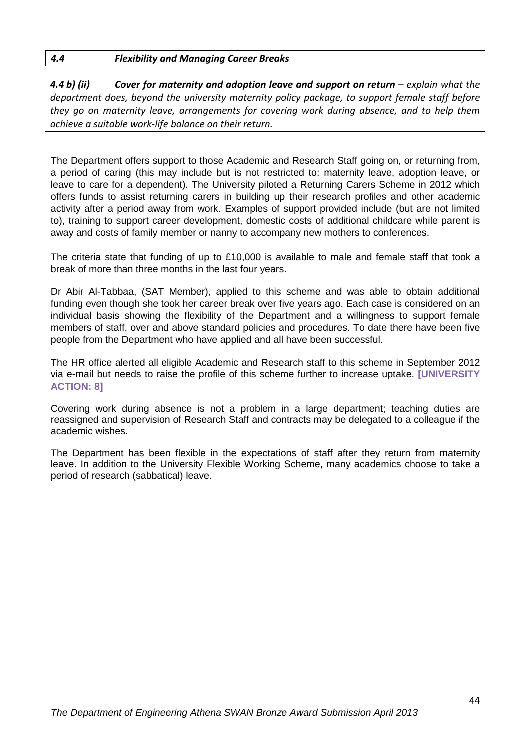#### *4.4 Flexibility and Managing Career Breaks*

*4.4 b) (ii) Cover for maternity and adoption leave and support on return – explain what the department does, beyond the university maternity policy package, to support female staff before they go on maternity leave, arrangements for covering work during absence, and to help them achieve a suitable work-life balance on their return.*

The Department offers support to those Academic and Research Staff going on, or returning from, a period of caring (this may include but is not restricted to: maternity leave, adoption leave, or leave to care for a dependent). The University piloted a Returning Carers Scheme in 2012 which offers funds to assist returning carers in building up their research profiles and other academic activity after a period away from work. Examples of support provided include (but are not limited to), training to support career development, domestic costs of additional childcare while parent is away and costs of family member or nanny to accompany new mothers to conferences.

The criteria state that funding of up to £10,000 is available to male and female staff that took a break of more than three months in the last four years.

Dr Abir Al-Tabbaa, (SAT Member), applied to this scheme and was able to obtain additional funding even though she took her career break over five years ago. Each case is considered on an individual basis showing the flexibility of the Department and a willingness to support female members of staff, over and above standard policies and procedures. To date there have been five people from the Department who have applied and all have been successful.

The HR office alerted all eligible Academic and Research staff to this scheme in September 2012 via e-mail but needs to raise the profile of this scheme further to increase uptake. **[UNIVERSITY ACTION: 8]**

Covering work during absence is not a problem in a large department; teaching duties are reassigned and supervision of Research Staff and contracts may be delegated to a colleague if the academic wishes.

The Department has been flexible in the expectations of staff after they return from maternity leave. In addition to the University Flexible Working Scheme, many academics choose to take a period of research (sabbatical) leave.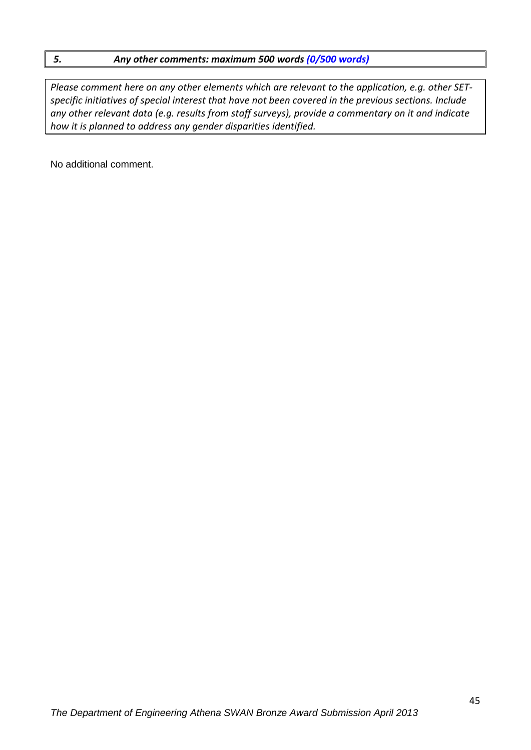#### *5. Any other comments: maximum 500 words (0/500 words)*

*Please comment here on any other elements which are relevant to the application, e.g. other SETspecific initiatives of special interest that have not been covered in the previous sections. Include any other relevant data (e.g. results from staff surveys), provide a commentary on it and indicate how it is planned to address any gender disparities identified.* 

No additional comment.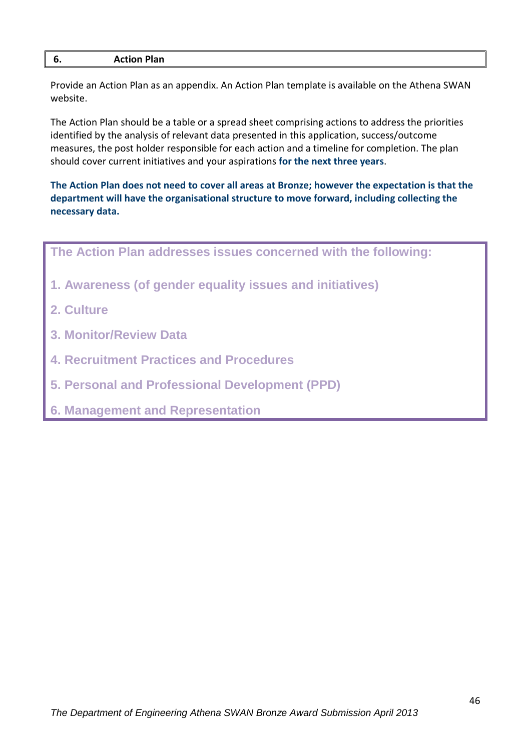| v. | <b>Action Plan</b> |
|----|--------------------|
|    |                    |

Provide an Action Plan as an appendix. An Action Plan template is available on the Athena SWAN website.

The Action Plan should be a table or a spread sheet comprising actions to address the priorities identified by the analysis of relevant data presented in this application, success/outcome measures, the post holder responsible for each action and a timeline for completion. The plan should cover current initiatives and your aspirations **for the next three years**.

**The Action Plan does not need to cover all areas at Bronze; however the expectation is that the department will have the organisational structure to move forward, including collecting the necessary data.**



**6. Management and Representation**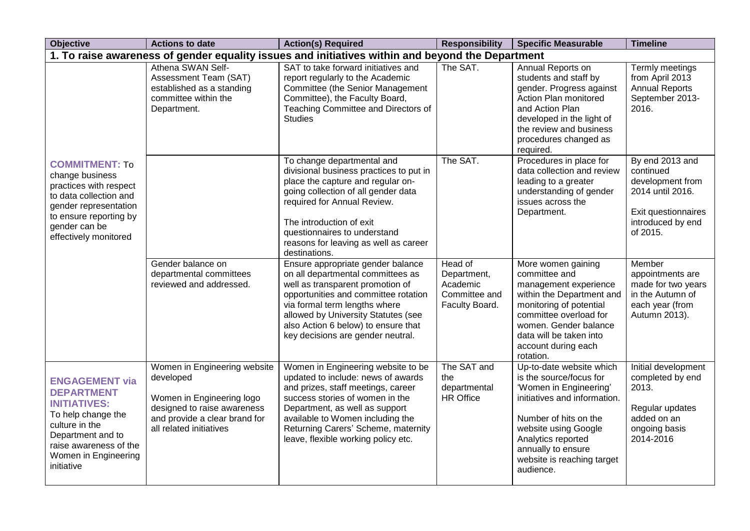| <b>Objective</b>                                                                                                                                                                               | <b>Actions to date</b>                                                                                                                                            | <b>Action(s) Required</b>                                                                                                                                                                                                                                                                              | <b>Responsibility</b>                                                 | <b>Specific Measurable</b>                                                                                                                                                                                                                            | <b>Timeline</b>                                                                                                              |
|------------------------------------------------------------------------------------------------------------------------------------------------------------------------------------------------|-------------------------------------------------------------------------------------------------------------------------------------------------------------------|--------------------------------------------------------------------------------------------------------------------------------------------------------------------------------------------------------------------------------------------------------------------------------------------------------|-----------------------------------------------------------------------|-------------------------------------------------------------------------------------------------------------------------------------------------------------------------------------------------------------------------------------------------------|------------------------------------------------------------------------------------------------------------------------------|
|                                                                                                                                                                                                |                                                                                                                                                                   | 1. To raise awareness of gender equality issues and initiatives within and beyond the Department                                                                                                                                                                                                       |                                                                       |                                                                                                                                                                                                                                                       |                                                                                                                              |
|                                                                                                                                                                                                | Athena SWAN Self-<br>Assessment Team (SAT)<br>established as a standing<br>committee within the<br>Department.                                                    | SAT to take forward initiatives and<br>report regularly to the Academic<br>Committee (the Senior Management<br>Committee), the Faculty Board,<br>Teaching Committee and Directors of<br><b>Studies</b>                                                                                                 | The SAT.                                                              | Annual Reports on<br>students and staff by<br>gender. Progress against<br>Action Plan monitored<br>and Action Plan<br>developed in the light of<br>the review and business<br>procedures changed as<br>required.                                      | Termly meetings<br>from April 2013<br><b>Annual Reports</b><br>September 2013-<br>2016.                                      |
| <b>COMMITMENT: To</b><br>change business<br>practices with respect<br>to data collection and<br>gender representation<br>to ensure reporting by<br>gender can be<br>effectively monitored      |                                                                                                                                                                   | To change departmental and<br>divisional business practices to put in<br>place the capture and regular on-<br>going collection of all gender data<br>required for Annual Review.<br>The introduction of exit<br>questionnaires to understand<br>reasons for leaving as well as career<br>destinations. | The SAT.                                                              | Procedures in place for<br>data collection and review<br>leading to a greater<br>understanding of gender<br>issues across the<br>Department.                                                                                                          | By end 2013 and<br>continued<br>development from<br>2014 until 2016.<br>Exit questionnaires<br>introduced by end<br>of 2015. |
|                                                                                                                                                                                                | Gender balance on<br>departmental committees<br>reviewed and addressed.                                                                                           | Ensure appropriate gender balance<br>on all departmental committees as<br>well as transparent promotion of<br>opportunities and committee rotation<br>via formal term lengths where<br>allowed by University Statutes (see<br>also Action 6 below) to ensure that<br>key decisions are gender neutral. | Head of<br>Department,<br>Academic<br>Committee and<br>Faculty Board. | More women gaining<br>committee and<br>management experience<br>within the Department and<br>monitoring of potential<br>committee overload for<br>women. Gender balance<br>data will be taken into<br>account during each<br>rotation.                | Member<br>appointments are<br>made for two years<br>in the Autumn of<br>each year (from<br>Autumn 2013).                     |
| <b>ENGAGEMENT via</b><br><b>DEPARTMENT</b><br><b>INITIATIVES:</b><br>To help change the<br>culture in the<br>Department and to<br>raise awareness of the<br>Women in Engineering<br>initiative | Women in Engineering website<br>developed<br>Women in Engineering logo<br>designed to raise awareness<br>and provide a clear brand for<br>all related initiatives | Women in Engineering website to be<br>updated to include: news of awards<br>and prizes, staff meetings, career<br>success stories of women in the<br>Department, as well as support<br>available to Women including the<br>Returning Carers' Scheme, maternity<br>leave, flexible working policy etc.  | The SAT and<br>the<br>departmental<br><b>HR Office</b>                | Up-to-date website which<br>is the source/focus for<br>'Women in Engineering'<br>initiatives and information.<br>Number of hits on the<br>website using Google<br>Analytics reported<br>annually to ensure<br>website is reaching target<br>audience. | Initial development<br>completed by end<br>2013.<br>Regular updates<br>added on an<br>ongoing basis<br>2014-2016             |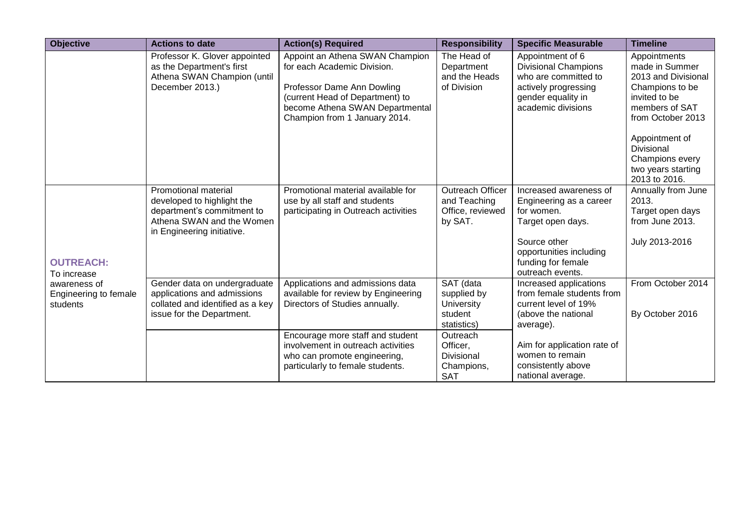| <b>Objective</b>                                  | <b>Actions to date</b>                                                                                                                      | <b>Action(s) Required</b>                                                                                                                                                                           | <b>Responsibility</b>                                            | <b>Specific Measurable</b>                                                                                                                                                | <b>Timeline</b>                                                                                                                  |
|---------------------------------------------------|---------------------------------------------------------------------------------------------------------------------------------------------|-----------------------------------------------------------------------------------------------------------------------------------------------------------------------------------------------------|------------------------------------------------------------------|---------------------------------------------------------------------------------------------------------------------------------------------------------------------------|----------------------------------------------------------------------------------------------------------------------------------|
|                                                   | Professor K. Glover appointed<br>as the Department's first<br>Athena SWAN Champion (until<br>December 2013.)                                | Appoint an Athena SWAN Champion<br>for each Academic Division.<br>Professor Dame Ann Dowling<br>(current Head of Department) to<br>become Athena SWAN Departmental<br>Champion from 1 January 2014. | The Head of<br>Department<br>and the Heads<br>of Division        | Appointment of 6<br><b>Divisional Champions</b><br>who are committed to<br>actively progressing<br>gender equality in<br>academic divisions                               | Appointments<br>made in Summer<br>2013 and Divisional<br>Champions to be<br>invited to be<br>members of SAT<br>from October 2013 |
|                                                   |                                                                                                                                             |                                                                                                                                                                                                     |                                                                  |                                                                                                                                                                           | Appointment of<br><b>Divisional</b><br>Champions every<br>two years starting<br>2013 to 2016.                                    |
| <b>OUTREACH:</b><br>To increase                   | Promotional material<br>developed to highlight the<br>department's commitment to<br>Athena SWAN and the Women<br>in Engineering initiative. | Promotional material available for<br>use by all staff and students<br>participating in Outreach activities                                                                                         | Outreach Officer<br>and Teaching<br>Office, reviewed<br>by SAT.  | Increased awareness of<br>Engineering as a career<br>for women.<br>Target open days.<br>Source other<br>opportunities including<br>funding for female<br>outreach events. | Annually from June<br>2013.<br>Target open days<br>from June 2013.<br>July 2013-2016                                             |
| awareness of<br>Engineering to female<br>students | Gender data on undergraduate<br>applications and admissions<br>collated and identified as a key<br>issue for the Department.                | Applications and admissions data<br>available for review by Engineering<br>Directors of Studies annually.                                                                                           | SAT (data<br>supplied by<br>University<br>student<br>statistics) | Increased applications<br>from female students from<br>current level of 19%<br>(above the national<br>average).                                                           | From October 2014<br>By October 2016                                                                                             |
|                                                   |                                                                                                                                             | Encourage more staff and student<br>involvement in outreach activities<br>who can promote engineering,<br>particularly to female students.                                                          | Outreach<br>Officer,<br>Divisional<br>Champions,<br><b>SAT</b>   | Aim for application rate of<br>women to remain<br>consistently above<br>national average.                                                                                 |                                                                                                                                  |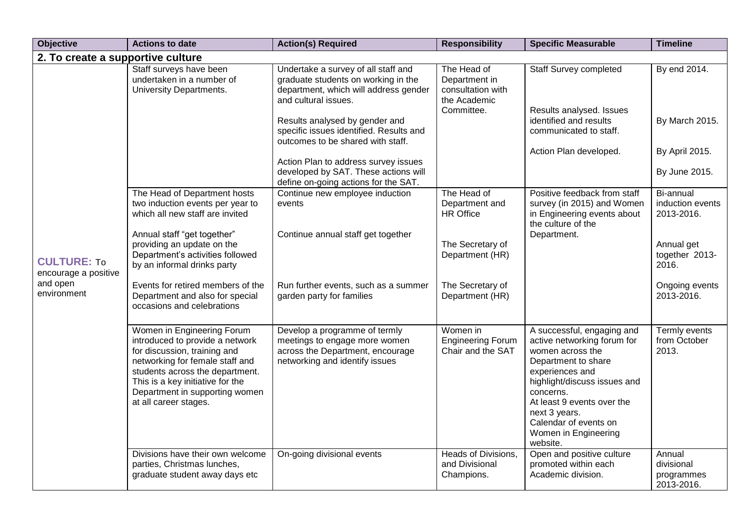| <b>Objective</b>                           | <b>Actions to date</b>                                                                                                                                                                                                                                             | <b>Action(s) Required</b>                                                                                                                   | <b>Responsibility</b>                                             | <b>Specific Measurable</b>                                                                                                                                                                                                                                                       | <b>Timeline</b>                                  |
|--------------------------------------------|--------------------------------------------------------------------------------------------------------------------------------------------------------------------------------------------------------------------------------------------------------------------|---------------------------------------------------------------------------------------------------------------------------------------------|-------------------------------------------------------------------|----------------------------------------------------------------------------------------------------------------------------------------------------------------------------------------------------------------------------------------------------------------------------------|--------------------------------------------------|
| 2. To create a supportive culture          |                                                                                                                                                                                                                                                                    |                                                                                                                                             |                                                                   |                                                                                                                                                                                                                                                                                  |                                                  |
|                                            | Staff surveys have been<br>undertaken in a number of<br><b>University Departments.</b>                                                                                                                                                                             | Undertake a survey of all staff and<br>graduate students on working in the<br>department, which will address gender<br>and cultural issues. | The Head of<br>Department in<br>consultation with<br>the Academic | <b>Staff Survey completed</b>                                                                                                                                                                                                                                                    | By end 2014.                                     |
|                                            |                                                                                                                                                                                                                                                                    | Results analysed by gender and<br>specific issues identified. Results and<br>outcomes to be shared with staff.                              | Committee.                                                        | Results analysed. Issues<br>identified and results<br>communicated to staff.                                                                                                                                                                                                     | By March 2015.                                   |
|                                            |                                                                                                                                                                                                                                                                    |                                                                                                                                             |                                                                   | Action Plan developed.                                                                                                                                                                                                                                                           | By April 2015.                                   |
|                                            |                                                                                                                                                                                                                                                                    | Action Plan to address survey issues<br>developed by SAT. These actions will<br>define on-going actions for the SAT.                        |                                                                   |                                                                                                                                                                                                                                                                                  | By June 2015.                                    |
| <b>CULTURE: To</b><br>encourage a positive | The Head of Department hosts<br>two induction events per year to<br>which all new staff are invited                                                                                                                                                                | Continue new employee induction<br>events                                                                                                   | The Head of<br>Department and<br><b>HR</b> Office                 | Positive feedback from staff<br>survey (in 2015) and Women<br>in Engineering events about<br>the culture of the                                                                                                                                                                  | Bi-annual<br>induction events<br>2013-2016.      |
|                                            | Annual staff "get together"<br>providing an update on the<br>Department's activities followed<br>by an informal drinks party                                                                                                                                       | Continue annual staff get together                                                                                                          | The Secretary of<br>Department (HR)                               | Department.                                                                                                                                                                                                                                                                      | Annual get<br>together 2013-<br>2016.            |
| and open<br>environment                    | Events for retired members of the<br>Department and also for special<br>occasions and celebrations                                                                                                                                                                 | Run further events, such as a summer<br>garden party for families                                                                           | The Secretary of<br>Department (HR)                               |                                                                                                                                                                                                                                                                                  | Ongoing events<br>2013-2016.                     |
|                                            | Women in Engineering Forum<br>introduced to provide a network<br>for discussion, training and<br>networking for female staff and<br>students across the department.<br>This is a key initiative for the<br>Department in supporting women<br>at all career stages. | Develop a programme of termly<br>meetings to engage more women<br>across the Department, encourage<br>networking and identify issues        | Women in<br><b>Engineering Forum</b><br>Chair and the SAT         | A successful, engaging and<br>active networking forum for<br>women across the<br>Department to share<br>experiences and<br>highlight/discuss issues and<br>concerns.<br>At least 9 events over the<br>next 3 years.<br>Calendar of events on<br>Women in Engineering<br>website. | Termly events<br>from October<br>2013.           |
|                                            | Divisions have their own welcome<br>parties, Christmas lunches,<br>graduate student away days etc                                                                                                                                                                  | On-going divisional events                                                                                                                  | <b>Heads of Divisions,</b><br>and Divisional<br>Champions.        | Open and positive culture<br>promoted within each<br>Academic division.                                                                                                                                                                                                          | Annual<br>divisional<br>programmes<br>2013-2016. |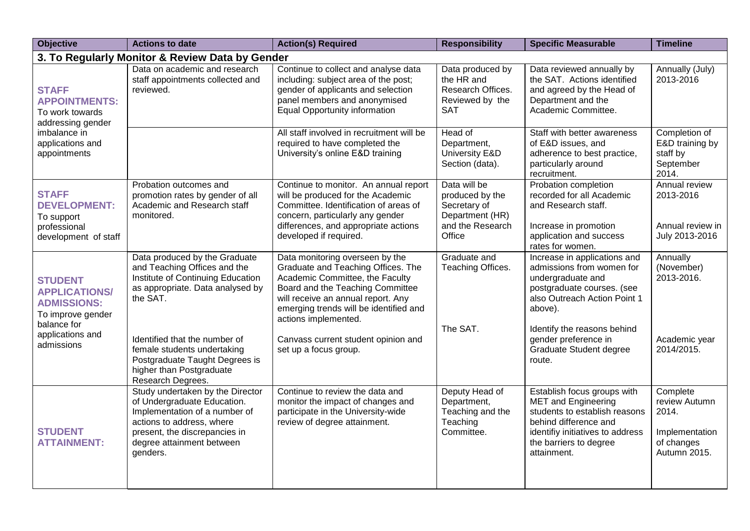| <b>Objective</b>                                                                                                                   | <b>Actions to date</b>                                                                                                                                                                                  | <b>Action(s) Required</b>                                                                                                                                                                                                                                                                   | <b>Responsibility</b>                                                                            | <b>Specific Measurable</b>                                                                                                                                                                                     | <b>Timeline</b>                                                                    |
|------------------------------------------------------------------------------------------------------------------------------------|---------------------------------------------------------------------------------------------------------------------------------------------------------------------------------------------------------|---------------------------------------------------------------------------------------------------------------------------------------------------------------------------------------------------------------------------------------------------------------------------------------------|--------------------------------------------------------------------------------------------------|----------------------------------------------------------------------------------------------------------------------------------------------------------------------------------------------------------------|------------------------------------------------------------------------------------|
|                                                                                                                                    | 3. To Regularly Monitor & Review Data by Gender                                                                                                                                                         |                                                                                                                                                                                                                                                                                             |                                                                                                  |                                                                                                                                                                                                                |                                                                                    |
| <b>STAFF</b><br><b>APPOINTMENTS:</b><br>To work towards<br>addressing gender                                                       | Data on academic and research<br>staff appointments collected and<br>reviewed.                                                                                                                          | Continue to collect and analyse data<br>including: subject area of the post;<br>gender of applicants and selection<br>panel members and anonymised<br><b>Equal Opportunity information</b>                                                                                                  | Data produced by<br>the HR and<br>Research Offices.<br>Reviewed by the<br><b>SAT</b>             | Data reviewed annually by<br>the SAT. Actions identified<br>and agreed by the Head of<br>Department and the<br>Academic Committee.                                                                             | Annually (July)<br>2013-2016                                                       |
| imbalance in<br>applications and<br>appointments                                                                                   |                                                                                                                                                                                                         | All staff involved in recruitment will be<br>required to have completed the<br>University's online E&D training                                                                                                                                                                             | Head of<br>Department,<br>University E&D<br>Section (data).                                      | Staff with better awareness<br>of E&D issues, and<br>adherence to best practice,<br>particularly around<br>recruitment.                                                                                        | Completion of<br>E&D training by<br>staff by<br>September<br>2014.                 |
| <b>STAFF</b><br><b>DEVELOPMENT:</b><br>To support<br>professional<br>development of staff                                          | Probation outcomes and<br>promotion rates by gender of all<br>Academic and Research staff<br>monitored.                                                                                                 | Continue to monitor. An annual report<br>will be produced for the Academic<br>Committee. Identification of areas of<br>concern, particularly any gender<br>differences, and appropriate actions<br>developed if required.                                                                   | Data will be<br>produced by the<br>Secretary of<br>Department (HR)<br>and the Research<br>Office | Probation completion<br>recorded for all Academic<br>and Research staff.<br>Increase in promotion<br>application and success<br>rates for women.                                                               | Annual review<br>2013-2016<br>Annual review in<br>July 2013-2016                   |
| <b>STUDENT</b><br><b>APPLICATIONS/</b><br><b>ADMISSIONS:</b><br>To improve gender<br>balance for<br>applications and<br>admissions | Data produced by the Graduate<br>and Teaching Offices and the<br>Institute of Continuing Education<br>as appropriate. Data analysed by<br>the SAT.<br>Identified that the number of                     | Data monitoring overseen by the<br>Graduate and Teaching Offices. The<br>Academic Committee, the Faculty<br>Board and the Teaching Committee<br>will receive an annual report. Any<br>emerging trends will be identified and<br>actions implemented.<br>Canvass current student opinion and | Graduate and<br>Teaching Offices.<br>The SAT.                                                    | Increase in applications and<br>admissions from women for<br>undergraduate and<br>postgraduate courses. (see<br>also Outreach Action Point 1<br>above).<br>Identify the reasons behind<br>gender preference in | Annually<br>(November)<br>2013-2016.<br>Academic year                              |
|                                                                                                                                    | female students undertaking<br>Postgraduate Taught Degrees is<br>higher than Postgraduate<br>Research Degrees.                                                                                          | set up a focus group.                                                                                                                                                                                                                                                                       |                                                                                                  | <b>Graduate Student degree</b><br>route.                                                                                                                                                                       | 2014/2015.                                                                         |
| <b>STUDENT</b><br><b>ATTAINMENT:</b>                                                                                               | Study undertaken by the Director<br>of Undergraduate Education.<br>Implementation of a number of<br>actions to address, where<br>present, the discrepancies in<br>degree attainment between<br>genders. | Continue to review the data and<br>monitor the impact of changes and<br>participate in the University-wide<br>review of degree attainment.                                                                                                                                                  | Deputy Head of<br>Department,<br>Teaching and the<br>Teaching<br>Committee.                      | Establish focus groups with<br><b>MET</b> and Engineering<br>students to establish reasons<br>behind difference and<br>identifiy initiatives to address<br>the barriers to degree<br>attainment.               | Complete<br>review Autumn<br>2014.<br>Implementation<br>of changes<br>Autumn 2015. |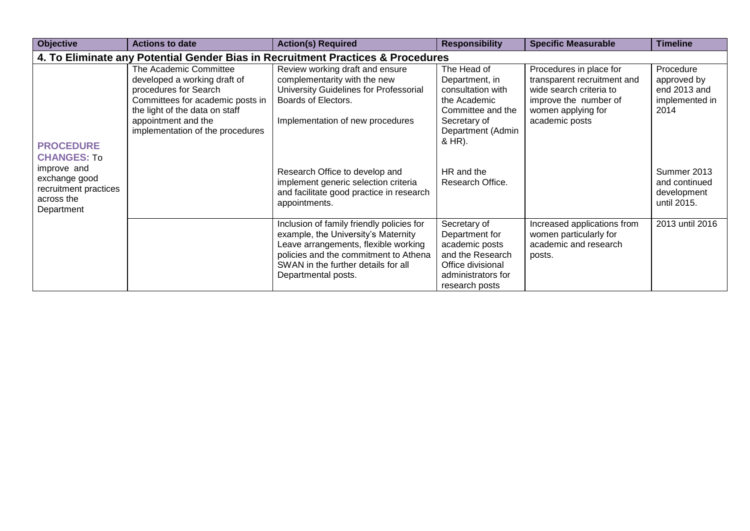| Objective                                                                         | <b>Actions to date</b>                                                                                                                                                                                           | <b>Action(s) Required</b>                                                                                                                                                                                                       | <b>Responsibility</b>                                                                                                                  | <b>Specific Measurable</b>                                                                                                                         | <b>Timeline</b>                                                    |
|-----------------------------------------------------------------------------------|------------------------------------------------------------------------------------------------------------------------------------------------------------------------------------------------------------------|---------------------------------------------------------------------------------------------------------------------------------------------------------------------------------------------------------------------------------|----------------------------------------------------------------------------------------------------------------------------------------|----------------------------------------------------------------------------------------------------------------------------------------------------|--------------------------------------------------------------------|
|                                                                                   |                                                                                                                                                                                                                  | 4. To Eliminate any Potential Gender Bias in Recruitment Practices & Procedures                                                                                                                                                 |                                                                                                                                        |                                                                                                                                                    |                                                                    |
| <b>PROCEDURE</b><br><b>CHANGES: To</b>                                            | The Academic Committee<br>developed a working draft of<br>procedures for Search<br>Committees for academic posts in<br>the light of the data on staff<br>appointment and the<br>implementation of the procedures | Review working draft and ensure<br>complementarity with the new<br>University Guidelines for Professorial<br>Boards of Electors.<br>Implementation of new procedures                                                            | The Head of<br>Department, in<br>consultation with<br>the Academic<br>Committee and the<br>Secretary of<br>Department (Admin<br>& HR). | Procedures in place for<br>transparent recruitment and<br>wide search criteria to<br>improve the number of<br>women applying for<br>academic posts | Procedure<br>approved by<br>end 2013 and<br>implemented in<br>2014 |
| improve and<br>exchange good<br>recruitment practices<br>across the<br>Department |                                                                                                                                                                                                                  | Research Office to develop and<br>implement generic selection criteria<br>and facilitate good practice in research<br>appointments.                                                                                             | HR and the<br>Research Office.                                                                                                         |                                                                                                                                                    | Summer 2013<br>and continued<br>development<br>until 2015.         |
|                                                                                   |                                                                                                                                                                                                                  | Inclusion of family friendly policies for<br>example, the University's Maternity<br>Leave arrangements, flexible working<br>policies and the commitment to Athena<br>SWAN in the further details for all<br>Departmental posts. | Secretary of<br>Department for<br>academic posts<br>and the Research<br>Office divisional<br>administrators for<br>research posts      | Increased applications from<br>women particularly for<br>academic and research<br>posts.                                                           | 2013 until 2016                                                    |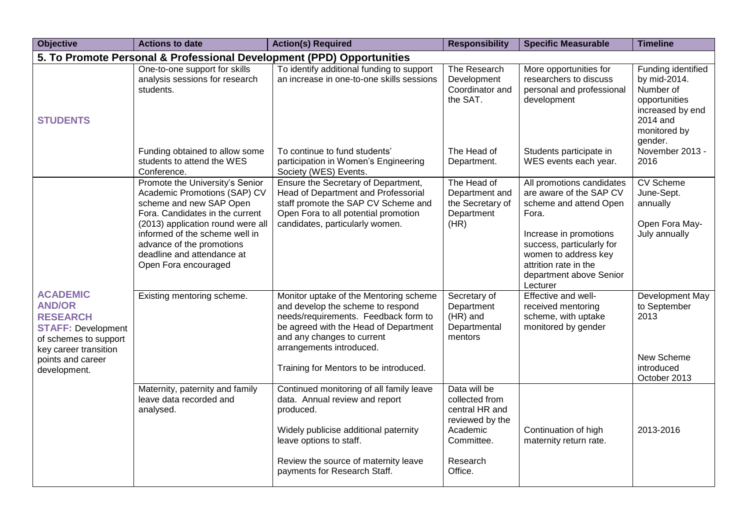| <b>Objective</b>                                                                                                                                                        | <b>Actions to date</b>                                                                                                                                                                                                                                                                  | <b>Action(s) Required</b>                                                                                                                                                                                                                                        | <b>Responsibility</b>                                                                                                | <b>Specific Measurable</b>                                                                                                                                                                                                             | <b>Timeline</b>                                                                                                             |
|-------------------------------------------------------------------------------------------------------------------------------------------------------------------------|-----------------------------------------------------------------------------------------------------------------------------------------------------------------------------------------------------------------------------------------------------------------------------------------|------------------------------------------------------------------------------------------------------------------------------------------------------------------------------------------------------------------------------------------------------------------|----------------------------------------------------------------------------------------------------------------------|----------------------------------------------------------------------------------------------------------------------------------------------------------------------------------------------------------------------------------------|-----------------------------------------------------------------------------------------------------------------------------|
|                                                                                                                                                                         | 5. To Promote Personal & Professional Development (PPD) Opportunities                                                                                                                                                                                                                   |                                                                                                                                                                                                                                                                  |                                                                                                                      |                                                                                                                                                                                                                                        |                                                                                                                             |
| <b>STUDENTS</b>                                                                                                                                                         | One-to-one support for skills<br>analysis sessions for research<br>students.                                                                                                                                                                                                            | To identify additional funding to support<br>an increase in one-to-one skills sessions                                                                                                                                                                           | The Research<br>Development<br>Coordinator and<br>the SAT.                                                           | More opportunities for<br>researchers to discuss<br>personal and professional<br>development                                                                                                                                           | Funding identified<br>by mid-2014.<br>Number of<br>opportunities<br>increased by end<br>2014 and<br>monitored by<br>gender. |
|                                                                                                                                                                         | Funding obtained to allow some<br>students to attend the WES<br>Conference.                                                                                                                                                                                                             | To continue to fund students'<br>participation in Women's Engineering<br>Society (WES) Events.                                                                                                                                                                   | The Head of<br>Department.                                                                                           | Students participate in<br>WES events each year.                                                                                                                                                                                       | November 2013 -<br>2016                                                                                                     |
|                                                                                                                                                                         | Promote the University's Senior<br>Academic Promotions (SAP) CV<br>scheme and new SAP Open<br>Fora. Candidates in the current<br>(2013) application round were all<br>informed of the scheme well in<br>advance of the promotions<br>deadline and attendance at<br>Open Fora encouraged | Ensure the Secretary of Department,<br>Head of Department and Professorial<br>staff promote the SAP CV Scheme and<br>Open Fora to all potential promotion<br>candidates, particularly women.                                                                     | The Head of<br>Department and<br>the Secretary of<br>Department<br>(HR)                                              | All promotions candidates<br>are aware of the SAP CV<br>scheme and attend Open<br>Fora.<br>Increase in promotions<br>success, particularly for<br>women to address key<br>attrition rate in the<br>department above Senior<br>Lecturer | <b>CV Scheme</b><br>June-Sept.<br>annually<br>Open Fora May-<br>July annually                                               |
| <b>ACADEMIC</b><br><b>AND/OR</b><br><b>RESEARCH</b><br><b>STAFF: Development</b><br>of schemes to support<br>key career transition<br>points and career<br>development. | Existing mentoring scheme.                                                                                                                                                                                                                                                              | Monitor uptake of the Mentoring scheme<br>and develop the scheme to respond<br>needs/requirements. Feedback form to<br>be agreed with the Head of Department<br>and any changes to current<br>arrangements introduced.<br>Training for Mentors to be introduced. | Secretary of<br>Department<br>(HR) and<br>Departmental<br>mentors                                                    | Effective and well-<br>received mentoring<br>scheme, with uptake<br>monitored by gender                                                                                                                                                | Development May<br>to September<br>2013<br>New Scheme<br>introduced<br>October 2013                                         |
|                                                                                                                                                                         | Maternity, paternity and family<br>leave data recorded and<br>analysed.                                                                                                                                                                                                                 | Continued monitoring of all family leave<br>data. Annual review and report<br>produced.<br>Widely publicise additional paternity<br>leave options to staff.<br>Review the source of maternity leave<br>payments for Research Staff.                              | Data will be<br>collected from<br>central HR and<br>reviewed by the<br>Academic<br>Committee.<br>Research<br>Office. | Continuation of high<br>maternity return rate.                                                                                                                                                                                         | 2013-2016                                                                                                                   |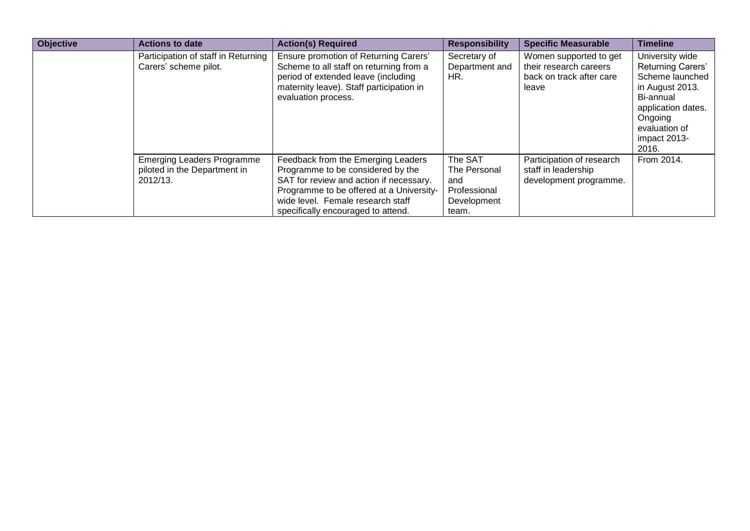| <b>Objective</b> | <b>Actions to date</b>                                                        | <b>Action(s) Required</b>                                                                                                                                                                                                                 | <b>Responsibility</b>                                                  | <b>Specific Measurable</b>                                                            | <b>Timeline</b>                                                                                                                                                           |
|------------------|-------------------------------------------------------------------------------|-------------------------------------------------------------------------------------------------------------------------------------------------------------------------------------------------------------------------------------------|------------------------------------------------------------------------|---------------------------------------------------------------------------------------|---------------------------------------------------------------------------------------------------------------------------------------------------------------------------|
|                  | Participation of staff in Returning<br>Carers' scheme pilot.                  | Ensure promotion of Returning Carers'<br>Scheme to all staff on returning from a<br>period of extended leave (including<br>maternity leave). Staff participation in<br>evaluation process.                                                | Secretary of<br>Department and<br>HR.                                  | Women supported to get<br>their research careers<br>back on track after care<br>leave | University wide<br><b>Returning Carers'</b><br>Scheme launched<br>in August 2013.<br>Bi-annual<br>application dates.<br>Ongoing<br>evaluation of<br>impact 2013-<br>2016. |
|                  | <b>Emerging Leaders Programme</b><br>piloted in the Department in<br>2012/13. | Feedback from the Emerging Leaders<br>Programme to be considered by the<br>SAT for review and action if necessary.<br>Programme to be offered at a University-<br>wide level. Female research staff<br>specifically encouraged to attend. | The SAT<br>The Personal<br>and<br>Professional<br>Development<br>team. | Participation of research<br>staff in leadership<br>development programme.            | From 2014.                                                                                                                                                                |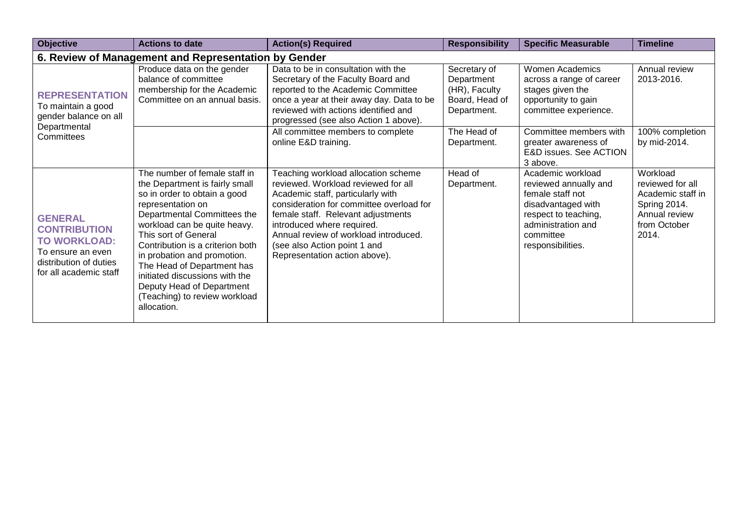| <b>Objective</b>                                                                                                                      | <b>Actions to date</b>                                                                                                                                                                                                                                                                                                                                                                                                      | <b>Action(s) Required</b>                                                                                                                                                                                                                                                                                                                 | <b>Responsibility</b>                                                        | <b>Specific Measurable</b>                                                                                                                                           | <b>Timeline</b>                                                                                             |
|---------------------------------------------------------------------------------------------------------------------------------------|-----------------------------------------------------------------------------------------------------------------------------------------------------------------------------------------------------------------------------------------------------------------------------------------------------------------------------------------------------------------------------------------------------------------------------|-------------------------------------------------------------------------------------------------------------------------------------------------------------------------------------------------------------------------------------------------------------------------------------------------------------------------------------------|------------------------------------------------------------------------------|----------------------------------------------------------------------------------------------------------------------------------------------------------------------|-------------------------------------------------------------------------------------------------------------|
|                                                                                                                                       | 6. Review of Management and Representation by Gender                                                                                                                                                                                                                                                                                                                                                                        |                                                                                                                                                                                                                                                                                                                                           |                                                                              |                                                                                                                                                                      |                                                                                                             |
| <b>REPRESENTATION</b><br>To maintain a good<br>gender balance on all<br>Departmental<br>Committees                                    | Produce data on the gender<br>balance of committee<br>membership for the Academic<br>Committee on an annual basis.                                                                                                                                                                                                                                                                                                          | Data to be in consultation with the<br>Secretary of the Faculty Board and<br>reported to the Academic Committee<br>once a year at their away day. Data to be<br>reviewed with actions identified and<br>progressed (see also Action 1 above).                                                                                             | Secretary of<br>Department<br>(HR), Faculty<br>Board, Head of<br>Department. | <b>Women Academics</b><br>across a range of career<br>stages given the<br>opportunity to gain<br>committee experience.                                               | Annual review<br>2013-2016.                                                                                 |
|                                                                                                                                       |                                                                                                                                                                                                                                                                                                                                                                                                                             | All committee members to complete<br>online E&D training.                                                                                                                                                                                                                                                                                 | The Head of<br>Department.                                                   | Committee members with<br>greater awareness of<br>E&D issues. See ACTION<br>3 above.                                                                                 | 100% completion<br>by mid-2014.                                                                             |
| <b>GENERAL</b><br><b>CONTRIBUTION</b><br><b>TO WORKLOAD:</b><br>To ensure an even<br>distribution of duties<br>for all academic staff | The number of female staff in<br>the Department is fairly small<br>so in order to obtain a good<br>representation on<br>Departmental Committees the<br>workload can be quite heavy.<br>This sort of General<br>Contribution is a criterion both<br>in probation and promotion.<br>The Head of Department has<br>initiated discussions with the<br>Deputy Head of Department<br>(Teaching) to review workload<br>allocation. | Teaching workload allocation scheme<br>reviewed. Workload reviewed for all<br>Academic staff, particularly with<br>consideration for committee overload for<br>female staff. Relevant adjustments<br>introduced where required.<br>Annual review of workload introduced.<br>(see also Action point 1 and<br>Representation action above). | Head of<br>Department.                                                       | Academic workload<br>reviewed annually and<br>female staff not<br>disadvantaged with<br>respect to teaching,<br>administration and<br>committee<br>responsibilities. | Workload<br>reviewed for all<br>Academic staff in<br>Spring 2014.<br>Annual review<br>from October<br>2014. |